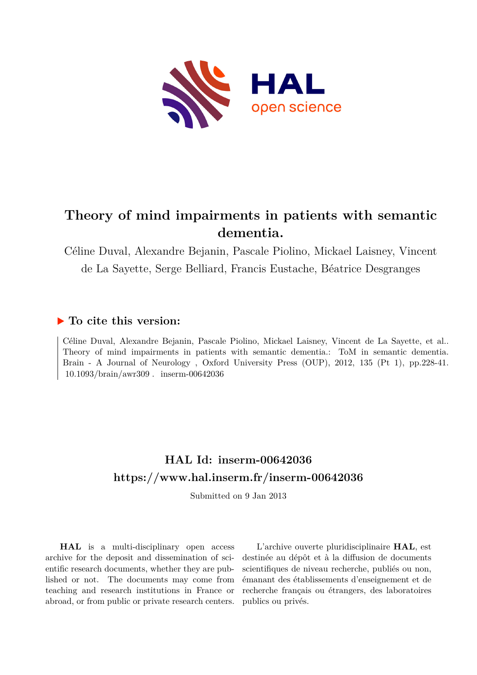

# **Theory of mind impairments in patients with semantic dementia.**

Céline Duval, Alexandre Bejanin, Pascale Piolino, Mickael Laisney, Vincent de La Sayette, Serge Belliard, Francis Eustache, Béatrice Desgranges

# **To cite this version:**

Céline Duval, Alexandre Bejanin, Pascale Piolino, Mickael Laisney, Vincent de La Sayette, et al.. Theory of mind impairments in patients with semantic dementia.: ToM in semantic dementia. Brain - A Journal of Neurology , Oxford University Press (OUP), 2012, 135 (Pt 1), pp.228-41.  $10.1093/brain/awr309$ . inserm-00642036

# **HAL Id: inserm-00642036 <https://www.hal.inserm.fr/inserm-00642036>**

Submitted on 9 Jan 2013

**HAL** is a multi-disciplinary open access archive for the deposit and dissemination of scientific research documents, whether they are published or not. The documents may come from teaching and research institutions in France or abroad, or from public or private research centers.

L'archive ouverte pluridisciplinaire **HAL**, est destinée au dépôt et à la diffusion de documents scientifiques de niveau recherche, publiés ou non, émanant des établissements d'enseignement et de recherche français ou étrangers, des laboratoires publics ou privés.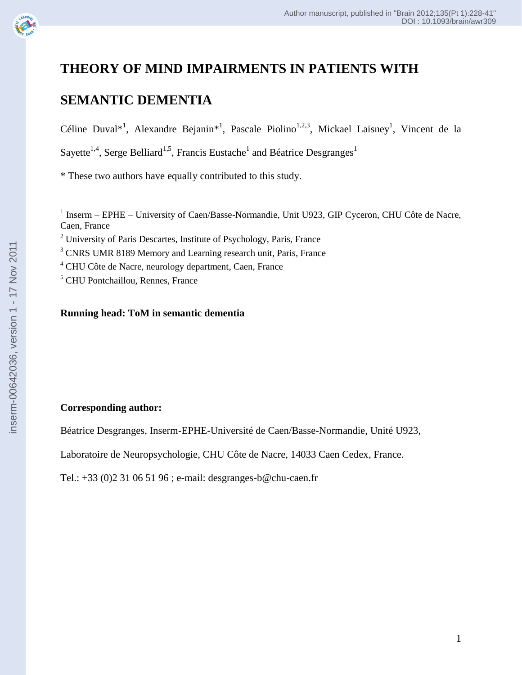

# **THEORY OF MIND IMPAIRMENTS IN PATIENTS WITH**

# **SEMANTIC DEMENTIA**

Céline Duval<sup>\*1</sup>, Alexandre Bejanin<sup>\*1</sup>, Pascale Piolino<sup>1,2,3</sup>, Mickael Laisney<sup>1</sup>, Vincent de la Sayette<sup>1,4</sup>, Serge Belliard<sup>1,5</sup>, Francis Eustache<sup>1</sup> and Béatrice Desgranges<sup>1</sup>

\* These two authors have equally contributed to this study.

<sup>1</sup> Inserm – EPHE – University of Caen/Basse-Normandie, Unit U923, GIP Cyceron, CHU Côte de Nacre, Caen, France

<sup>2</sup> University of Paris Descartes, Institute of Psychology, Paris, France

<sup>3</sup> CNRS UMR 8189 Memory and Learning research unit, Paris, France

<sup>4</sup> CHU Côte de Nacre, neurology department, Caen, France

<sup>5</sup> CHU Pontchaillou, Rennes, France

# **Running head: ToM in semantic dementia**

# **Corresponding author :**

Béatrice Desgranges, Inserm -EPHE -Université de Caen/Basse -Normandie, Unité U923,

Laboratoire de Neuropsychologie, CHU Côte de Nacre, 14033 Caen Cedex, France.

Tel.: +33 (0)2 31 06 51 96 ; e -mail: desgranges -b@chu -caen.fr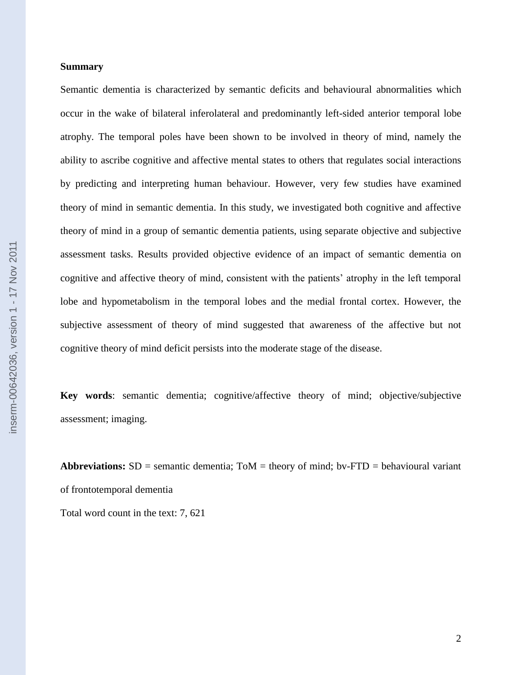#### **Summary**

Semantic dementia is characterized by semantic deficits and behavioural abnormalities which occur in the wake of bilateral inferolateral and predominantly left-sided anterior temporal lobe atrophy. The temporal poles have been shown to be involved in theory of mind, namely the ability to ascribe cognitive and affective mental states to others that regulates social interactions by predicting and interpreting human behaviour. However, very few studies have examined theory of mind in semantic dementia. In this study, we investigated both cognitive and affective theory of mind in a group of semantic dementia patients, using separate objective and subjective assessment tasks. Results provided objective evidence of an impact of semantic dementia on cognitive and affective theory of mind, consistent with the patients" atrophy in the left temporal lobe and hypometabolism in the temporal lobes and the medial frontal cortex. However, the subjective assessment of theory of mind suggested that awareness of the affective but not cognitive theory of mind deficit persists into the moderate stage of the disease.

**Key words**: semantic dementia; cognitive/affective theory of mind; objective/subjective assessment; imaging.

**Abbreviations:** SD = semantic dementia; ToM = theory of mind; bv-FTD = behavioural variant of frontotemporal dementia

Total word count in the text: 7, 621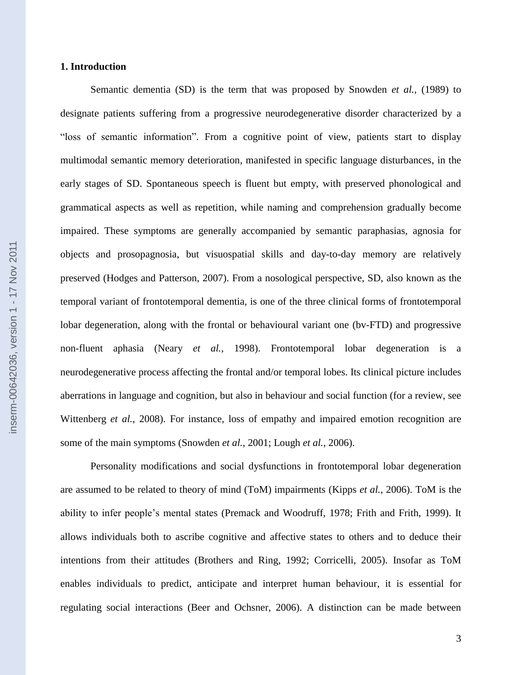#### **1. Introduction**

Semantic dementia (SD) is the term that was proposed by Snowden *et al.*, (1989) to designate patients suffering from a progressive neurodegenerative disorder characterized by a "loss of semantic information". From a cognitive point of view, patients start to display multimodal semantic memory deterioration, manifested in specific language disturbances, in the early stages of SD. Spontaneous speech is fluent but empty, with preserved phonological and grammatical aspects as well as repetition, while naming and comprehension gradually become impaired. These symptoms are generally accompanied by semantic paraphasias, agnosia for objects and prosopagnosia, but visuospatial skills and day-to-day memory are relatively preserved (Hodges and Patterson, 2007). From a nosological perspective, SD, also known as the temporal variant of frontotemporal dementia, is one of the three clinical forms of frontotemporal lobar degeneration, along with the frontal or behavioural variant one (bv-FTD) and progressive non-fluent aphasia (Neary *et al.*, 1998). Frontotemporal lobar degeneration is a neurodegenerative process affecting the frontal and/or temporal lobes. Its clinical picture includes aberrations in language and cognition, but also in behaviour and social function (for a review, see Wittenberg *et al.*, 2008). For instance, loss of empathy and impaired emotion recognition are some of the main symptoms (Snowden *et al.*, 2001; Lough *et al.*, 2006).

Personality modifications and social dysfunctions in frontotemporal lobar degeneration are assumed to be related to theory of mind (ToM) impairments (Kipps *et al.*, 2006). ToM is the ability to infer people"s mental states (Premack and Woodruff, 1978; Frith and Frith, 1999). It allows individuals both to ascribe cognitive and affective states to others and to deduce their intentions from their attitudes (Brothers and Ring, 1992; Corricelli, 2005). Insofar as ToM enables individuals to predict, anticipate and interpret human behaviour, it is essential for regulating social interactions (Beer and Ochsner, 2006). A distinction can be made between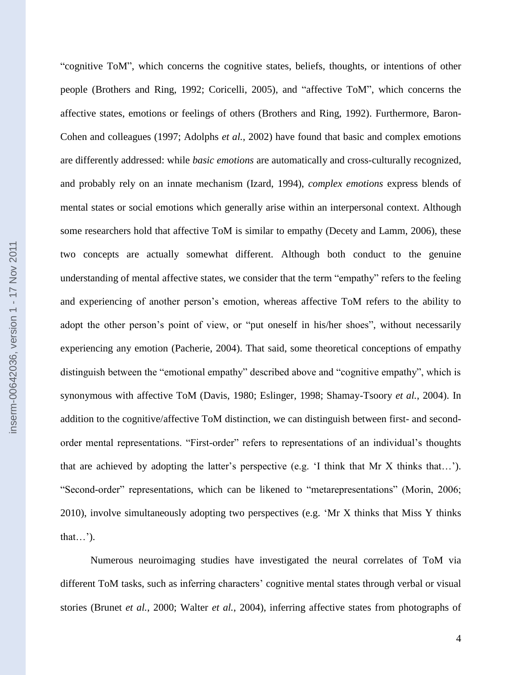inserm-00642036, version 1 - 17 Nov 2011 inserm-00642036, version 1 - 17 Nov 2011

"cognitive ToM", which concerns the cognitive states, beliefs, thoughts, or intentions of other people (Brothers and Ring, 1992; Coricelli, 2005), and "affective ToM", which concerns the affective states, emotions or feelings of others (Brothers and Ring, 1992). Furthermore, Baron-Cohen and colleagues (1997; Adolphs *et al.*, 2002) have found that basic and complex emotions are differently addressed: while *basic emotions* are automatically and cross-culturally recognized, and probably rely on an innate mechanism (Izard, 1994), *complex emotions* express blends of mental states or social emotions which generally arise within an interpersonal context. Although some researchers hold that affective ToM is similar to empathy (Decety and Lamm, 2006), these two concepts are actually somewhat different. Although both conduct to the genuine understanding of mental affective states, we consider that the term "empathy" refers to the feeling and experiencing of another person's emotion, whereas affective ToM refers to the ability to adopt the other person's point of view, or "put oneself in his/her shoes", without necessarily experiencing any emotion (Pacherie, 2004). That said, some theoretical conceptions of empathy distinguish between the "emotional empathy" described above and "cognitive empathy", which is synonymous with affective ToM (Davis, 1980; Eslinger, 1998; Shamay-Tsoory *et al.*, 2004). In addition to the cognitive/affective ToM distinction, we can distinguish between first- and secondorder mental representations. "First-order" refers to representations of an individual"s thoughts that are achieved by adopting the latter's perspective (e.g.  $\lq$  think that Mr X thinks that...'). "Second-order" representations, which can be likened to "metarepresentations" (Morin, 2006; 2010), involve simultaneously adopting two perspectives (e.g. "Mr X thinks that Miss Y thinks that...').

Numerous neuroimaging studies have investigated the neural correlates of ToM via different ToM tasks, such as inferring characters' cognitive mental states through verbal or visual stories (Brunet *et al.*, 2000; Walter *et al.*, 2004), inferring affective states from photographs of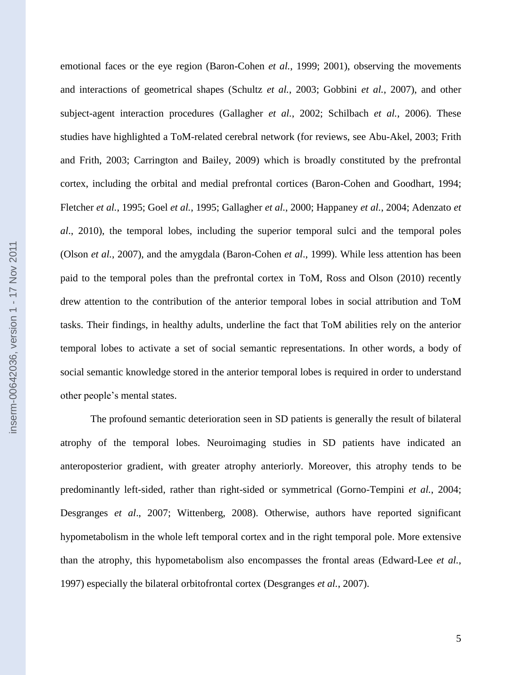emotional faces or the eye region (Baron-Cohen *et al.*, 1999; 2001), observing the movements and interactions of geometrical shapes (Schultz *et al.*, 2003; Gobbini *et al.*, 2007), and other subject-agent interaction procedures (Gallagher *et al.*, 2002; Schilbach *et al.*, 2006). These studies have highlighted a ToM-related cerebral network (for reviews, see Abu-Akel, 2003; Frith and Frith, 2003; Carrington and Bailey, 2009) which is broadly constituted by the prefrontal cortex, including the orbital and medial prefrontal cortices (Baron-Cohen and Goodhart, 1994; Fletcher *et al.*, 1995; Goel *et al.*, 1995; Gallagher *et al.*, 2000; Happaney *et al.*, 2004; Adenzato *et al*., 2010), the temporal lobes, including the superior temporal sulci and the temporal poles (Olson *et al.*, 2007), and the amygdala (Baron-Cohen *et al*., 1999). While less attention has been paid to the temporal poles than the prefrontal cortex in ToM, Ross and Olson (2010) recently drew attention to the contribution of the anterior temporal lobes in social attribution and ToM tasks. Their findings, in healthy adults, underline the fact that ToM abilities rely on the anterior temporal lobes to activate a set of social semantic representations. In other words, a body of social semantic knowledge stored in the anterior temporal lobes is required in order to understand other people"s mental states.

The profound semantic deterioration seen in SD patients is generally the result of bilateral atrophy of the temporal lobes. Neuroimaging studies in SD patients have indicated an anteroposterior gradient, with greater atrophy anteriorly. Moreover, this atrophy tends to be predominantly left-sided, rather than right-sided or symmetrical (Gorno-Tempini *et al.*, 2004; Desgranges *et al*., 2007; Wittenberg, 2008). Otherwise, authors have reported significant hypometabolism in the whole left temporal cortex and in the right temporal pole. More extensive than the atrophy, this hypometabolism also encompasses the frontal areas (Edward-Lee *et al.*, 1997) especially the bilateral orbitofrontal cortex (Desgranges *et al.*, 2007).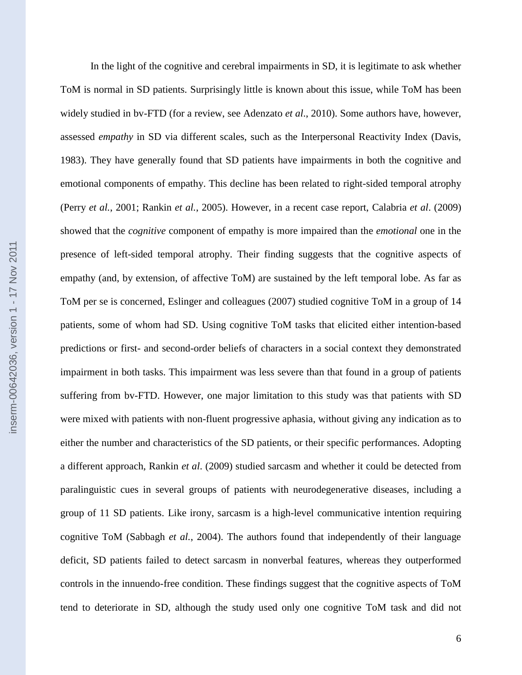In the light of the cognitive and cerebral impairments in SD, it is legitimate to ask whether ToM is normal in SD patients. Surprisingly little is known about this issue, while ToM has been widely studied in bv-FTD (for a review, see Adenzato *et al*., 2010). Some authors have, however, assessed *empathy* in SD via different scales, such as the Interpersonal Reactivity Index (Davis, 1983). They have generally found that SD patients have impairments in both the cognitive and emotional components of empathy. This decline has been related to right-sided temporal atrophy (Perry *et al.*, 2001; Rankin *et al.*, 2005). However, in a recent case report, Calabria *et al*. (2009) showed that the *cognitive* component of empathy is more impaired than the *emotional* one in the presence of left-sided temporal atrophy. Their finding suggests that the cognitive aspects of empathy (and, by extension, of affective ToM) are sustained by the left temporal lobe. As far as ToM per se is concerned, Eslinger and colleagues (2007) studied cognitive ToM in a group of 14 patients, some of whom had SD. Using cognitive ToM tasks that elicited either intention-based predictions or first- and second-order beliefs of characters in a social context they demonstrated impairment in both tasks. This impairment was less severe than that found in a group of patients suffering from bv-FTD. However, one major limitation to this study was that patients with SD were mixed with patients with non-fluent progressive aphasia, without giving any indication as to either the number and characteristics of the SD patients, or their specific performances. Adopting a different approach, Rankin *et al*. (2009) studied sarcasm and whether it could be detected from paralinguistic cues in several groups of patients with neurodegenerative diseases, including a group of 11 SD patients. Like irony, sarcasm is a high-level communicative intention requiring cognitive ToM (Sabbagh *et al.*, 2004). The authors found that independently of their language deficit, SD patients failed to detect sarcasm in nonverbal features, whereas they outperformed controls in the innuendo-free condition. These findings suggest that the cognitive aspects of ToM tend to deteriorate in SD, although the study used only one cognitive ToM task and did not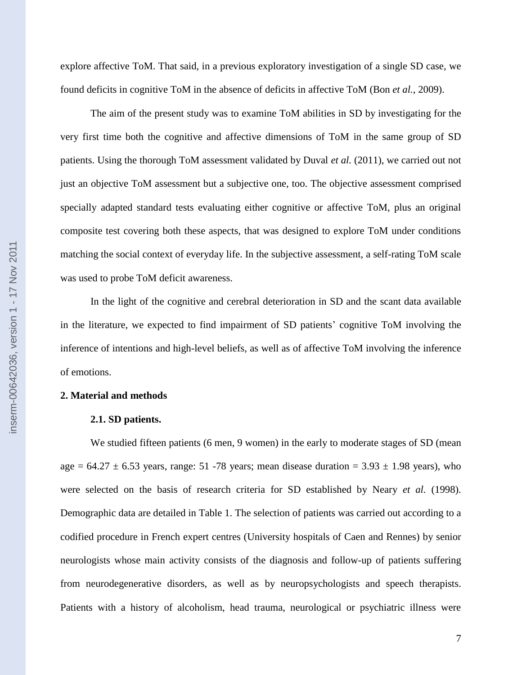explore affective ToM. That said, in a previous exploratory investigation of a single SD case, we found deficits in cognitive ToM in the absence of deficits in affective ToM (Bon *et al.*, 2009).

The aim of the present study was to examine ToM abilities in SD by investigating for the very first time both the cognitive and affective dimensions of ToM in the same group of SD patients. Using the thorough ToM assessment validated by Duval *et al.* (2011), we carried out not just an objective ToM assessment but a subjective one, too. The objective assessment comprised specially adapted standard tests evaluating either cognitive or affective ToM, plus an original composite test covering both these aspects, that was designed to explore ToM under conditions matching the social context of everyday life. In the subjective assessment, a self-rating ToM scale was used to probe ToM deficit awareness.

In the light of the cognitive and cerebral deterioration in SD and the scant data available in the literature, we expected to find impairment of SD patients" cognitive ToM involving the inference of intentions and high-level beliefs, as well as of affective ToM involving the inference of emotions.

#### **2. Material and methods**

#### **2.1. SD patients.**

We studied fifteen patients (6 men, 9 women) in the early to moderate stages of SD (mean age =  $64.27 \pm 6.53$  years, range: 51 -78 years; mean disease duration =  $3.93 \pm 1.98$  years), who were selected on the basis of research criteria for SD established by Neary *et al.* (1998). Demographic data are detailed in Table 1. The selection of patients was carried out according to a codified procedure in French expert centres (University hospitals of Caen and Rennes) by senior neurologists whose main activity consists of the diagnosis and follow-up of patients suffering from neurodegenerative disorders, as well as by neuropsychologists and speech therapists. Patients with a history of alcoholism, head trauma, neurological or psychiatric illness were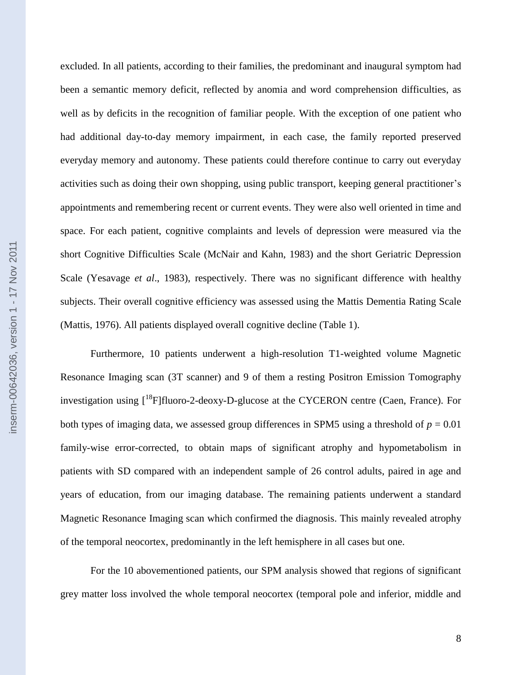excluded. In all patients, according to their families, the predominant and inaugural symptom had been a semantic memory deficit, reflected by anomia and word comprehension difficulties, as well as by deficits in the recognition of familiar people. With the exception of one patient who had additional day-to-day memory impairment, in each case, the family reported preserved everyday memory and autonomy. These patients could therefore continue to carry out everyday activities such as doing their own shopping, using public transport, keeping general practitioner"s appointments and remembering recent or current events. They were also well oriented in time and space. For each patient, cognitive complaints and levels of depression were measured via the short Cognitive Difficulties Scale (McNair and Kahn, 1983) and the short Geriatric Depression Scale (Yesavage *et al*., 1983), respectively. There was no significant difference with healthy subjects. Their overall cognitive efficiency was assessed using the Mattis Dementia Rating Scale (Mattis, 1976). All patients displayed overall cognitive decline (Table 1).

Furthermore, 10 patients underwent a high-resolution T1-weighted volume Magnetic Resonance Imaging scan (3T scanner) and 9 of them a resting Positron Emission Tomography investigation using  $\int_0^{18}F\right]$ fluoro-2-deoxy-D-glucose at the CYCERON centre (Caen, France). For both types of imaging data, we assessed group differences in SPM5 using a threshold of  $p = 0.01$ family-wise error-corrected, to obtain maps of significant atrophy and hypometabolism in patients with SD compared with an independent sample of 26 control adults, paired in age and years of education, from our imaging database. The remaining patients underwent a standard Magnetic Resonance Imaging scan which confirmed the diagnosis. This mainly revealed atrophy of the temporal neocortex, predominantly in the left hemisphere in all cases but one.

For the 10 abovementioned patients, our SPM analysis showed that regions of significant grey matter loss involved the whole temporal neocortex (temporal pole and inferior, middle and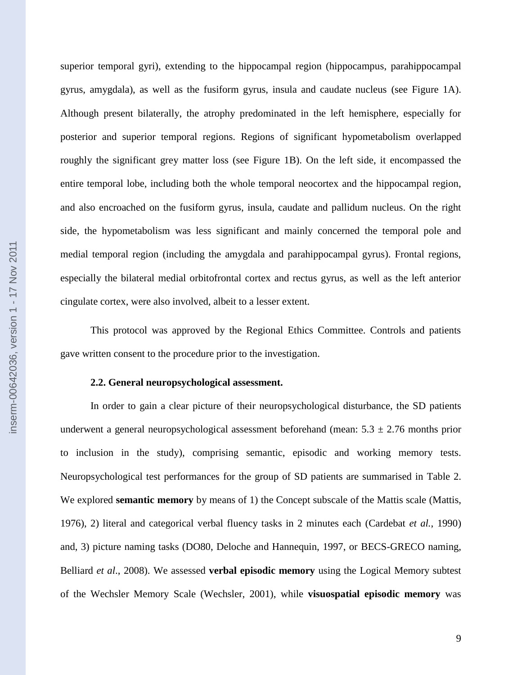superior temporal gyri), extending to the hippocampal region (hippocampus, parahippocampal gyrus, amygdala), as well as the fusiform gyrus, insula and caudate nucleus (see Figure 1A). Although present bilaterally, the atrophy predominated in the left hemisphere, especially for posterior and superior temporal regions. Regions of significant hypometabolism overlapped roughly the significant grey matter loss (see Figure 1B). On the left side, it encompassed the entire temporal lobe, including both the whole temporal neocortex and the hippocampal region, and also encroached on the fusiform gyrus, insula, caudate and pallidum nucleus. On the right side, the hypometabolism was less significant and mainly concerned the temporal pole and medial temporal region (including the amygdala and parahippocampal gyrus). Frontal regions, especially the bilateral medial orbitofrontal cortex and rectus gyrus, as well as the left anterior cingulate cortex, were also involved, albeit to a lesser extent.

This protocol was approved by the Regional Ethics Committee. Controls and patients gave written consent to the procedure prior to the investigation.

#### **2.2. General neuropsychological assessment.**

In order to gain a clear picture of their neuropsychological disturbance, the SD patients underwent a general neuropsychological assessment beforehand (mean:  $5.3 \pm 2.76$  months prior to inclusion in the study), comprising semantic, episodic and working memory tests. Neuropsychological test performances for the group of SD patients are summarised in Table 2. We explored **semantic memory** by means of 1) the Concept subscale of the Mattis scale (Mattis, 1976), 2) literal and categorical verbal fluency tasks in 2 minutes each (Cardebat *et al.*, 1990) and, 3) picture naming tasks (DO80, Deloche and Hannequin, 1997, or BECS-GRECO naming, Belliard *et al*., 2008). We assessed **verbal episodic memory** using the Logical Memory subtest of the Wechsler Memory Scale (Wechsler, 2001), while **visuospatial episodic memory** was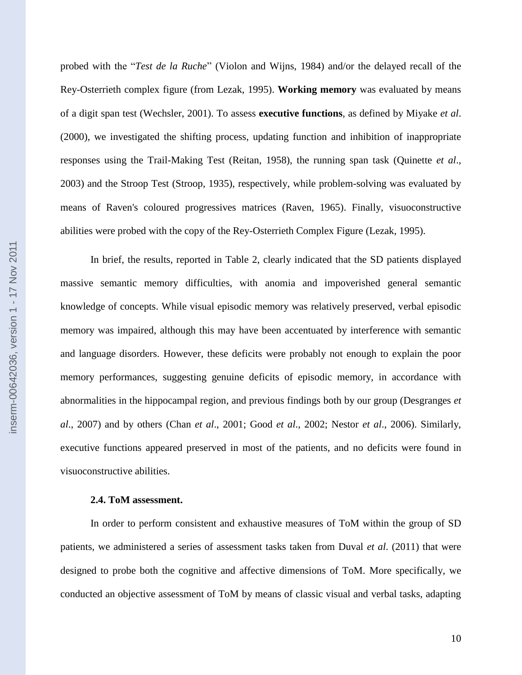probed with the "*Test de la Ruche*" (Violon and Wijns, 1984) and/or the delayed recall of the Rey-Osterrieth complex figure (from Lezak, 1995). **Working memory** was evaluated by means of a digit span test (Wechsler, 2001). To assess **executive functions**, as defined by Miyake *et al*. (2000), we investigated the shifting process, updating function and inhibition of inappropriate responses using the Trail-Making Test (Reitan, 1958), the running span task (Quinette *et al*., 2003) and the Stroop Test (Stroop, 1935), respectively, while problem-solving was evaluated by means of Raven's coloured progressives matrices (Raven, 1965). Finally, visuoconstructive abilities were probed with the copy of the Rey-Osterrieth Complex Figure (Lezak, 1995).

In brief, the results, reported in Table 2, clearly indicated that the SD patients displayed massive semantic memory difficulties, with anomia and impoverished general semantic knowledge of concepts. While visual episodic memory was relatively preserved, verbal episodic memory was impaired, although this may have been accentuated by interference with semantic and language disorders. However, these deficits were probably not enough to explain the poor memory performances, suggesting genuine deficits of episodic memory, in accordance with abnormalities in the hippocampal region, and previous findings both by our group (Desgranges *et al*., 2007) and by others (Chan *et al*., 2001; Good *et al*., 2002; Nestor *et al*., 2006). Similarly, executive functions appeared preserved in most of the patients, and no deficits were found in visuoconstructive abilities.

#### **2.4. ToM assessment.**

In order to perform consistent and exhaustive measures of ToM within the group of SD patients, we administered a series of assessment tasks taken from Duval *et al*. (2011) that were designed to probe both the cognitive and affective dimensions of ToM. More specifically, we conducted an objective assessment of ToM by means of classic visual and verbal tasks, adapting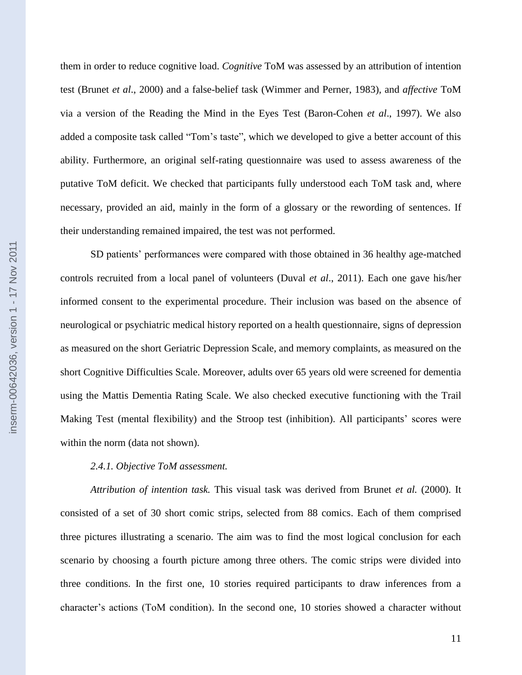them in order to reduce cognitive load. *Cognitive* ToM was assessed by an attribution of intention test (Brunet *et al*., 2000) and a false-belief task (Wimmer and Perner, 1983), and *affective* ToM via a version of the Reading the Mind in the Eyes Test (Baron-Cohen *et al*., 1997). We also added a composite task called "Tom"s taste", which we developed to give a better account of this ability. Furthermore, an original self-rating questionnaire was used to assess awareness of the putative ToM deficit. We checked that participants fully understood each ToM task and, where necessary, provided an aid, mainly in the form of a glossary or the rewording of sentences. If their understanding remained impaired, the test was not performed.

SD patients" performances were compared with those obtained in 36 healthy age-matched controls recruited from a local panel of volunteers (Duval *et al*., 2011). Each one gave his/her informed consent to the experimental procedure. Their inclusion was based on the absence of neurological or psychiatric medical history reported on a health questionnaire, signs of depression as measured on the short Geriatric Depression Scale, and memory complaints, as measured on the short Cognitive Difficulties Scale. Moreover, adults over 65 years old were screened for dementia using the Mattis Dementia Rating Scale. We also checked executive functioning with the Trail Making Test (mental flexibility) and the Stroop test (inhibition). All participants" scores were within the norm (data not shown).

## *2.4.1. Objective ToM assessment.*

*Attribution of intention task.* This visual task was derived from Brunet *et al.* (2000). It consisted of a set of 30 short comic strips, selected from 88 comics. Each of them comprised three pictures illustrating a scenario. The aim was to find the most logical conclusion for each scenario by choosing a fourth picture among three others. The comic strips were divided into three conditions. In the first one, 10 stories required participants to draw inferences from a character"s actions (ToM condition). In the second one, 10 stories showed a character without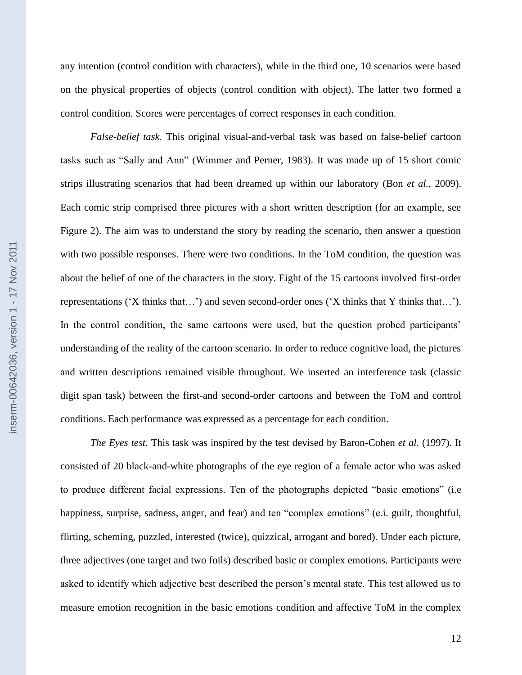any intention (control condition with characters), while in the third one, 10 scenarios were based on the physical properties of objects (control condition with object). The latter two formed a control condition. Scores were percentages of correct responses in each condition.

*False-belief task.* This original visual-and-verbal task was based on false-belief cartoon tasks such as "Sally and Ann" (Wimmer and Perner, 1983). It was made up of 15 short comic strips illustrating scenarios that had been dreamed up within our laboratory (Bon *et al.*, 2009). Each comic strip comprised three pictures with a short written description (for an example, see Figure 2). The aim was to understand the story by reading the scenario, then answer a question with two possible responses. There were two conditions. In the ToM condition, the question was about the belief of one of the characters in the story. Eight of the 15 cartoons involved first-order representations ("X thinks that…") and seven second-order ones ("X thinks that Y thinks that…"). In the control condition, the same cartoons were used, but the question probed participants' understanding of the reality of the cartoon scenario. In order to reduce cognitive load, the pictures and written descriptions remained visible throughout. We inserted an interference task (classic digit span task) between the first-and second-order cartoons and between the ToM and control conditions. Each performance was expressed as a percentage for each condition.

*The Eyes test.* This task was inspired by the test devised by Baron-Cohen *et al.* (1997). It consisted of 20 black-and-white photographs of the eye region of a female actor who was asked to produce different facial expressions. Ten of the photographs depicted "basic emotions" (i.e happiness, surprise, sadness, anger, and fear) and ten "complex emotions" (e.i. guilt, thoughtful, flirting, scheming, puzzled, interested (twice), quizzical, arrogant and bored). Under each picture, three adjectives (one target and two foils) described basic or complex emotions. Participants were asked to identify which adjective best described the person"s mental state. This test allowed us to measure emotion recognition in the basic emotions condition and affective ToM in the complex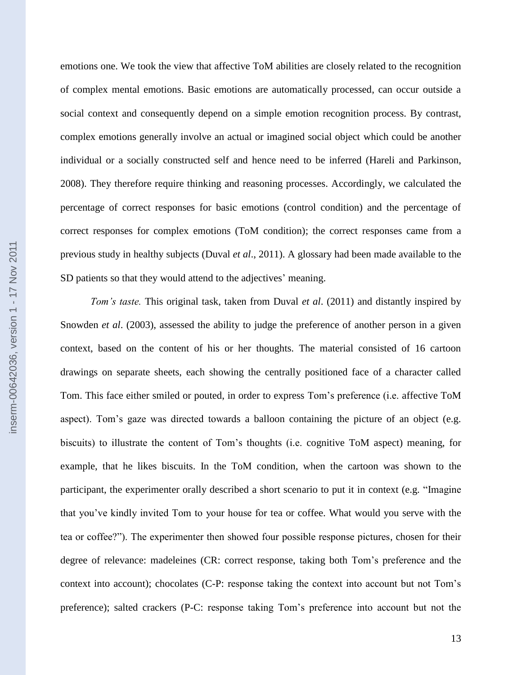emotions one. We took the view that affective ToM abilities are closely related to the recognition of complex mental emotions. Basic emotions are automatically processed, can occur outside a social context and consequently depend on a simple emotion recognition process. By contrast, complex emotions generally involve an actual or imagined social object which could be another individual or a socially constructed self and hence need to be inferred (Hareli and Parkinson, 2008). They therefore require thinking and reasoning processes. Accordingly, we calculated the percentage of correct responses for basic emotions (control condition) and the percentage of correct responses for complex emotions (ToM condition); the correct responses came from a previous study in healthy subjects (Duval *et al*., 2011). A glossary had been made available to the SD patients so that they would attend to the adjectives' meaning.

*Tom's taste.* This original task, taken from Duval *et al*. (2011) and distantly inspired by Snowden *et al*. (2003), assessed the ability to judge the preference of another person in a given context, based on the content of his or her thoughts. The material consisted of 16 cartoon drawings on separate sheets, each showing the centrally positioned face of a character called Tom. This face either smiled or pouted, in order to express Tom"s preference (i.e. affective ToM aspect). Tom's gaze was directed towards a balloon containing the picture of an object (e.g. biscuits) to illustrate the content of Tom"s thoughts (i.e. cognitive ToM aspect) meaning, for example, that he likes biscuits. In the ToM condition, when the cartoon was shown to the participant, the experimenter orally described a short scenario to put it in context (e.g. "Imagine that you"ve kindly invited Tom to your house for tea or coffee. What would you serve with the tea or coffee?"). The experimenter then showed four possible response pictures, chosen for their degree of relevance: madeleines (CR: correct response, taking both Tom"s preference and the context into account); chocolates (C-P: response taking the context into account but not Tom"s preference); salted crackers (P-C: response taking Tom"s preference into account but not the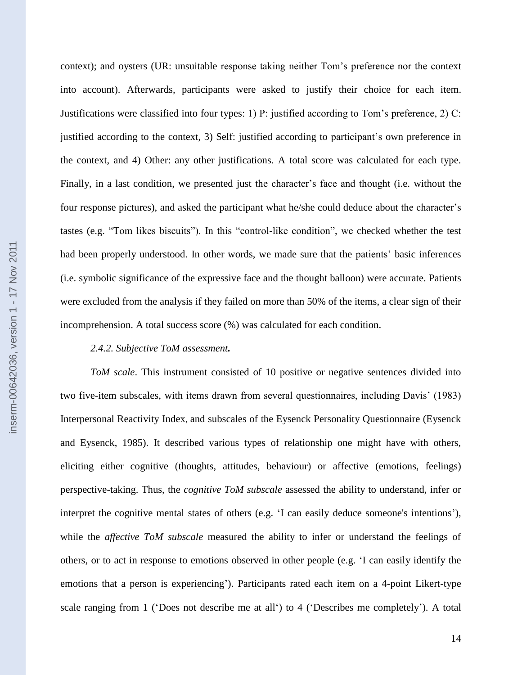context); and oysters (UR: unsuitable response taking neither Tom"s preference nor the context into account). Afterwards, participants were asked to justify their choice for each item. Justifications were classified into four types: 1) P: justified according to Tom"s preference, 2) C: justified according to the context, 3) Self: justified according to participant"s own preference in the context, and 4) Other: any other justifications. A total score was calculated for each type. Finally, in a last condition, we presented just the character's face and thought (i.e. without the four response pictures), and asked the participant what he/she could deduce about the character's tastes (e.g. "Tom likes biscuits"). In this "control-like condition", we checked whether the test had been properly understood. In other words, we made sure that the patients' basic inferences (i.e. symbolic significance of the expressive face and the thought balloon) were accurate. Patients were excluded from the analysis if they failed on more than 50% of the items, a clear sign of their incomprehension. A total success score (%) was calculated for each condition.

#### *2.4.2. Subjective ToM assessment.*

*ToM scale*. This instrument consisted of 10 positive or negative sentences divided into two five-item subscales, with items drawn from several questionnaires, including Davis" (1983) Interpersonal Reactivity Index, and subscales of the Eysenck Personality Questionnaire (Eysenck and Eysenck, 1985). It described various types of relationship one might have with others, eliciting either cognitive (thoughts, attitudes, behaviour) or affective (emotions, feelings) perspective-taking. Thus, the *cognitive ToM subscale* assessed the ability to understand, infer or interpret the cognitive mental states of others (e.g. "I can easily deduce someone's intentions"), while the *affective ToM subscale* measured the ability to infer or understand the feelings of others, or to act in response to emotions observed in other people (e.g. "I can easily identify the emotions that a person is experiencing'). Participants rated each item on a 4-point Likert-type scale ranging from 1 ('Does not describe me at all') to 4 ('Describes me completely'). A total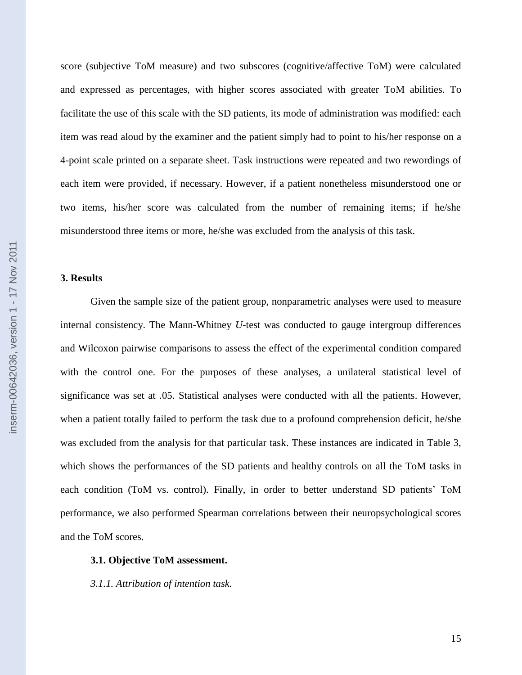score (subjective ToM measure) and two subscores (cognitive/affective ToM) were calculated and expressed as percentages, with higher scores associated with greater ToM abilities. To facilitate the use of this scale with the SD patients, its mode of administration was modified: each item was read aloud by the examiner and the patient simply had to point to his/her response on a 4-point scale printed on a separate sheet. Task instructions were repeated and two rewordings of each item were provided, if necessary. However, if a patient nonetheless misunderstood one or two items, his/her score was calculated from the number of remaining items; if he/she misunderstood three items or more, he/she was excluded from the analysis of this task.

#### **3. Results**

Given the sample size of the patient group, nonparametric analyses were used to measure internal consistency. The Mann-Whitney *U-*test was conducted to gauge intergroup differences and Wilcoxon pairwise comparisons to assess the effect of the experimental condition compared with the control one. For the purposes of these analyses, a unilateral statistical level of significance was set at .05. Statistical analyses were conducted with all the patients. However, when a patient totally failed to perform the task due to a profound comprehension deficit, he/she was excluded from the analysis for that particular task. These instances are indicated in Table 3, which shows the performances of the SD patients and healthy controls on all the ToM tasks in each condition (ToM vs. control). Finally, in order to better understand SD patients' ToM performance, we also performed Spearman correlations between their neuropsychological scores and the ToM scores.

#### **3.1. Objective ToM assessment.**

*3.1.1. Attribution of intention task.*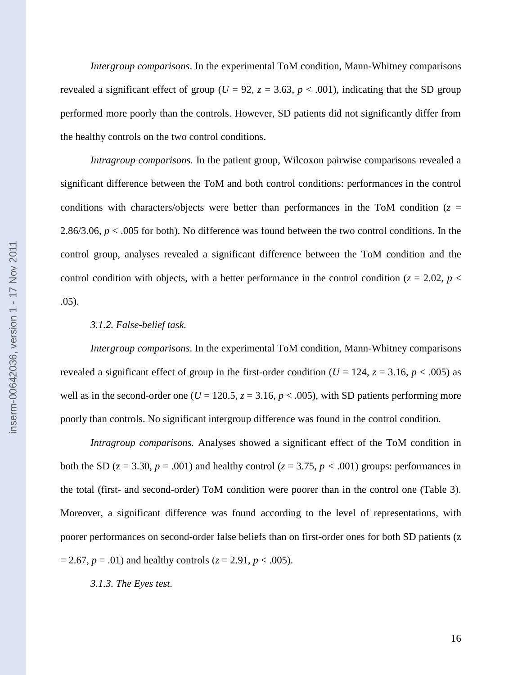*Intergroup comparisons*. In the experimental ToM condition, Mann-Whitney comparisons revealed a significant effect of group ( $U = 92$ ,  $z = 3.63$ ,  $p < .001$ ), indicating that the SD group performed more poorly than the controls. However, SD patients did not significantly differ from the healthy controls on the two control conditions.

*Intragroup comparisons.* In the patient group, Wilcoxon pairwise comparisons revealed a significant difference between the ToM and both control conditions: performances in the control conditions with characters/objects were better than performances in the ToM condition  $(z =$ 2.86/3.06,  $p < .005$  for both). No difference was found between the two control conditions. In the control group, analyses revealed a significant difference between the ToM condition and the control condition with objects, with a better performance in the control condition ( $z = 2.02$ ,  $p <$ .05).

### *3.1.2. False-belief task.*

*Intergroup comparisons*. In the experimental ToM condition, Mann-Whitney comparisons revealed a significant effect of group in the first-order condition ( $U = 124$ ,  $z = 3.16$ ,  $p < .005$ ) as well as in the second-order one ( $U = 120.5$ ,  $z = 3.16$ ,  $p < .005$ ), with SD patients performing more poorly than controls. No significant intergroup difference was found in the control condition.

*Intragroup comparisons.* Analyses showed a significant effect of the ToM condition in both the SD ( $z = 3.30$ ,  $p = .001$ ) and healthy control ( $z = 3.75$ ,  $p < .001$ ) groups: performances in the total (first- and second-order) ToM condition were poorer than in the control one (Table 3). Moreover, a significant difference was found according to the level of representations, with poorer performances on second-order false beliefs than on first-order ones for both SD patients (z  $= 2.67, p = .01$ ) and healthy controls ( $z = 2.91, p < .005$ ).

*3.1.3. The Eyes test.*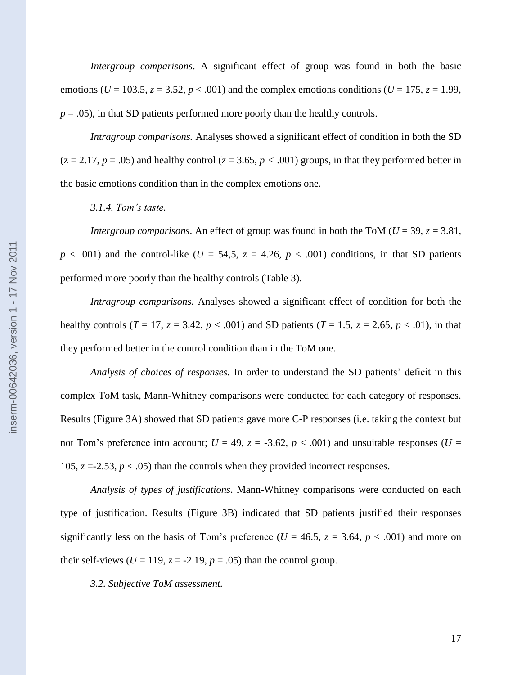*Intergroup comparisons*. A significant effect of group was found in both the basic emotions ( $U = 103.5$ ,  $z = 3.52$ ,  $p < .001$ ) and the complex emotions conditions ( $U = 175$ ,  $z = 1.99$ ,  $p = .05$ ), in that SD patients performed more poorly than the healthy controls.

*Intragroup comparisons.* Analyses showed a significant effect of condition in both the SD  $(z = 2.17, p = .05)$  and healthy control  $(z = 3.65, p < .001)$  groups, in that they performed better in the basic emotions condition than in the complex emotions one.

*3.1.4. Tom's taste.*

*Intergroup comparisons.* An effect of group was found in both the ToM ( $U = 39$ ,  $z = 3.81$ ,  $p < .001$ ) and the control-like ( $U = 54.5$ ,  $z = 4.26$ ,  $p < .001$ ) conditions, in that SD patients performed more poorly than the healthy controls (Table 3).

*Intragroup comparisons.* Analyses showed a significant effect of condition for both the healthy controls (*T* = 17, *z* = 3.42, *p* < .001) and SD patients (*T* = 1.5, *z* = 2.65, *p* < .01), in that they performed better in the control condition than in the ToM one.

*Analysis of choices of responses.* In order to understand the SD patients" deficit in this complex ToM task, Mann-Whitney comparisons were conducted for each category of responses. Results (Figure 3A) showed that SD patients gave more C-P responses (i.e. taking the context but not Tom's preference into account;  $U = 49$ ,  $z = -3.62$ ,  $p < .001$ ) and unsuitable responses ( $U =$ 105,  $z = -2.53$ ,  $p < .05$ ) than the controls when they provided incorrect responses.

*Analysis of types of justifications*. Mann-Whitney comparisons were conducted on each type of justification. Results (Figure 3B) indicated that SD patients justified their responses significantly less on the basis of Tom's preference ( $U = 46.5$ ,  $z = 3.64$ ,  $p < .001$ ) and more on their self-views ( $U = 119$ ,  $z = -2.19$ ,  $p = .05$ ) than the control group.

*3.2. Subjective ToM assessment.*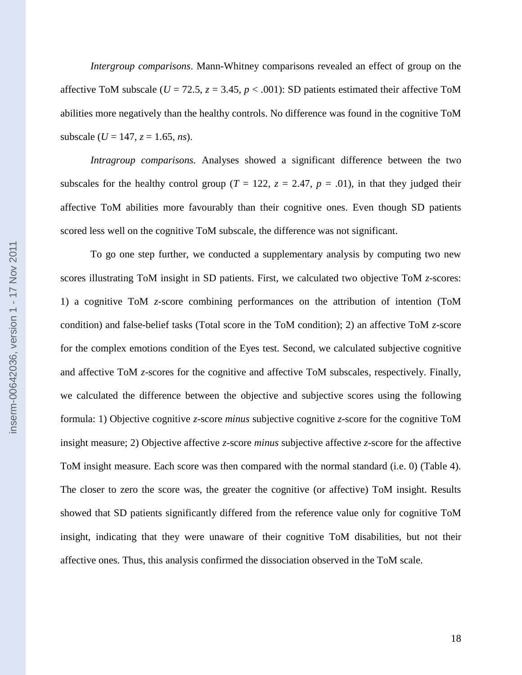*Intergroup comparisons*. Mann-Whitney comparisons revealed an effect of group on the affective ToM subscale ( $U = 72.5$ ,  $z = 3.45$ ,  $p < .001$ ): SD patients estimated their affective ToM abilities more negatively than the healthy controls. No difference was found in the cognitive ToM subscale ( $U = 147$ ,  $z = 1.65$ , *ns*).

*Intragroup comparisons.* Analyses showed a significant difference between the two subscales for the healthy control group ( $T = 122$ ,  $z = 2.47$ ,  $p = .01$ ), in that they judged their affective ToM abilities more favourably than their cognitive ones. Even though SD patients scored less well on the cognitive ToM subscale, the difference was not significant.

To go one step further, we conducted a supplementary analysis by computing two new scores illustrating ToM insight in SD patients. First, we calculated two objective ToM *z*-scores: 1) a cognitive ToM *z*-score combining performances on the attribution of intention (ToM condition) and false-belief tasks (Total score in the ToM condition); 2) an affective ToM *z*-score for the complex emotions condition of the Eyes test. Second, we calculated subjective cognitive and affective ToM *z*-scores for the cognitive and affective ToM subscales, respectively. Finally, we calculated the difference between the objective and subjective scores using the following formula: 1) Objective cognitive *z*-score *minus* subjective cognitive *z*-score for the cognitive ToM insight measure; 2) Objective affective *z*-score *minus* subjective affective *z*-score for the affective ToM insight measure. Each score was then compared with the normal standard (i.e. 0) (Table 4). The closer to zero the score was, the greater the cognitive (or affective) ToM insight. Results showed that SD patients significantly differed from the reference value only for cognitive ToM insight, indicating that they were unaware of their cognitive ToM disabilities, but not their affective ones. Thus, this analysis confirmed the dissociation observed in the ToM scale.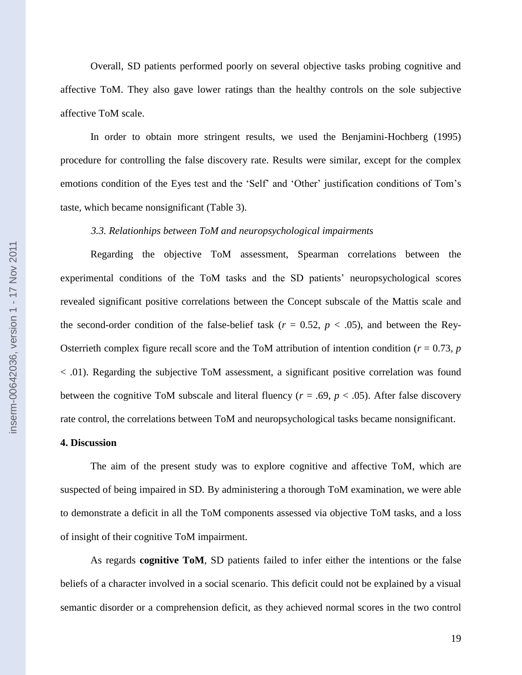Overall, SD patients performed poorly on several objective tasks probing cognitive and affective ToM. They also gave lower ratings than the healthy controls on the sole subjective affective ToM scale.

In order to obtain more stringent results, we used the Benjamini-Hochberg (1995) procedure for controlling the false discovery rate. Results were similar, except for the complex emotions condition of the Eyes test and the 'Self' and 'Other' justification conditions of Tom's taste, which became nonsignificant (Table 3).

#### *3.3. Relationhips between ToM and neuropsychological impairments*

Regarding the objective ToM assessment, Spearman correlations between the experimental conditions of the ToM tasks and the SD patients' neuropsychological scores revealed significant positive correlations between the Concept subscale of the Mattis scale and the second-order condition of the false-belief task  $(r = 0.52, p < .05)$ , and between the Rey-Osterrieth complex figure recall score and the ToM attribution of intention condition ( $r = 0.73$ ,  $p$ ) < .01). Regarding the subjective ToM assessment, a significant positive correlation was found between the cognitive ToM subscale and literal fluency ( $r = .69$ ,  $p < .05$ ). After false discovery rate control, the correlations between ToM and neuropsychological tasks became nonsignificant.

#### **4. Discussion**

The aim of the present study was to explore cognitive and affective ToM, which are suspected of being impaired in SD. By administering a thorough ToM examination, we were able to demonstrate a deficit in all the ToM components assessed via objective ToM tasks, and a loss of insight of their cognitive ToM impairment.

As regards **cognitive ToM**, SD patients failed to infer either the intentions or the false beliefs of a character involved in a social scenario. This deficit could not be explained by a visual semantic disorder or a comprehension deficit, as they achieved normal scores in the two control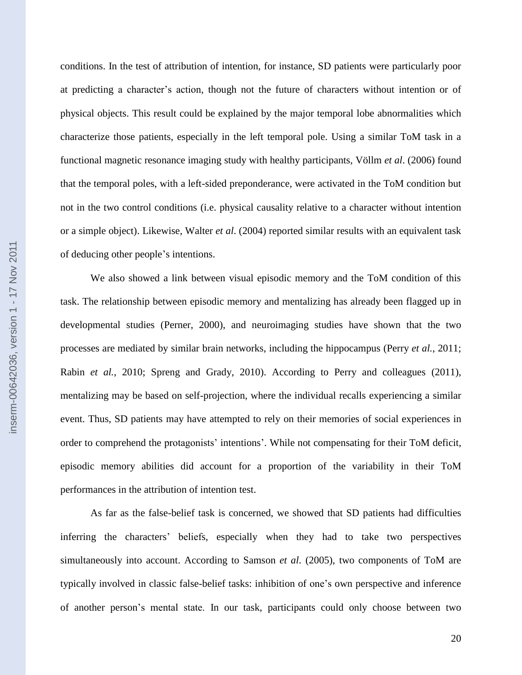conditions. In the test of attribution of intention, for instance, SD patients were particularly poor at predicting a character"s action, though not the future of characters without intention or of physical objects. This result could be explained by the major temporal lobe abnormalities which characterize those patients, especially in the left temporal pole. Using a similar ToM task in a functional magnetic resonance imaging study with healthy participants, Völlm *et al*. (2006) found that the temporal poles, with a left-sided preponderance, were activated in the ToM condition but not in the two control conditions (i.e. physical causality relative to a character without intention or a simple object). Likewise, Walter *et al*. (2004) reported similar results with an equivalent task of deducing other people"s intentions.

We also showed a link between visual episodic memory and the ToM condition of this task. The relationship between episodic memory and mentalizing has already been flagged up in developmental studies (Perner, 2000), and neuroimaging studies have shown that the two processes are mediated by similar brain networks, including the hippocampus (Perry *et al.*, 2011; Rabin *et al.*, 2010; Spreng and Grady, 2010). According to Perry and colleagues (2011), mentalizing may be based on self-projection, where the individual recalls experiencing a similar event. Thus, SD patients may have attempted to rely on their memories of social experiences in order to comprehend the protagonists' intentions'. While not compensating for their ToM deficit, episodic memory abilities did account for a proportion of the variability in their ToM performances in the attribution of intention test.

As far as the false-belief task is concerned, we showed that SD patients had difficulties inferring the characters" beliefs, especially when they had to take two perspectives simultaneously into account. According to Samson *et al*. (2005), two components of ToM are typically involved in classic false-belief tasks: inhibition of one"s own perspective and inference of another person"s mental state. In our task, participants could only choose between two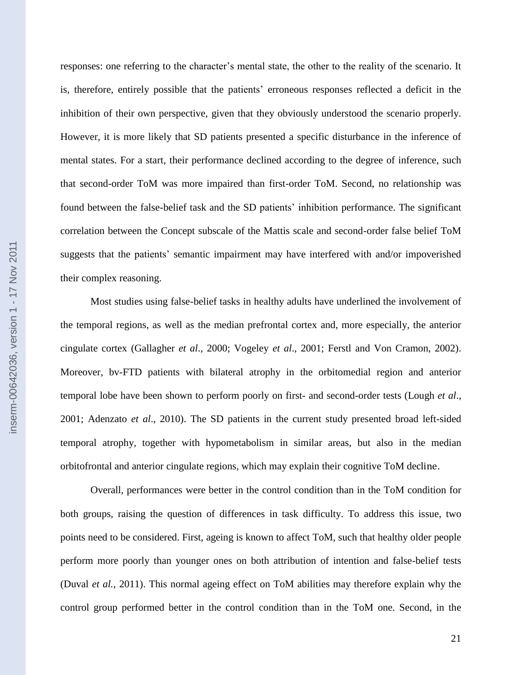responses: one referring to the character"s mental state, the other to the reality of the scenario. It is, therefore, entirely possible that the patients" erroneous responses reflected a deficit in the inhibition of their own perspective, given that they obviously understood the scenario properly. However, it is more likely that SD patients presented a specific disturbance in the inference of mental states. For a start, their performance declined according to the degree of inference, such that second-order ToM was more impaired than first-order ToM. Second, no relationship was found between the false-belief task and the SD patients' inhibition performance. The significant correlation between the Concept subscale of the Mattis scale and second-order false belief ToM suggests that the patients" semantic impairment may have interfered with and/or impoverished their complex reasoning.

Most studies using false-belief tasks in healthy adults have underlined the involvement of the temporal regions, as well as the median prefrontal cortex and, more especially, the anterior cingulate cortex (Gallagher *et al*., 2000; Vogeley *et al*., 2001; Ferstl and Von Cramon, 2002). Moreover, bv-FTD patients with bilateral atrophy in the orbitomedial region and anterior temporal lobe have been shown to perform poorly on first- and second-order tests (Lough *et al*., 2001; Adenzato *et al*., 2010). The SD patients in the current study presented broad left-sided temporal atrophy, together with hypometabolism in similar areas, but also in the median orbitofrontal and anterior cingulate regions, which may explain their cognitive ToM decline.

Overall, performances were better in the control condition than in the ToM condition for both groups, raising the question of differences in task difficulty. To address this issue, two points need to be considered. First, ageing is known to affect ToM, such that healthy older people perform more poorly than younger ones on both attribution of intention and false-belief tests (Duval *et al.*, 2011). This normal ageing effect on ToM abilities may therefore explain why the control group performed better in the control condition than in the ToM one. Second, in the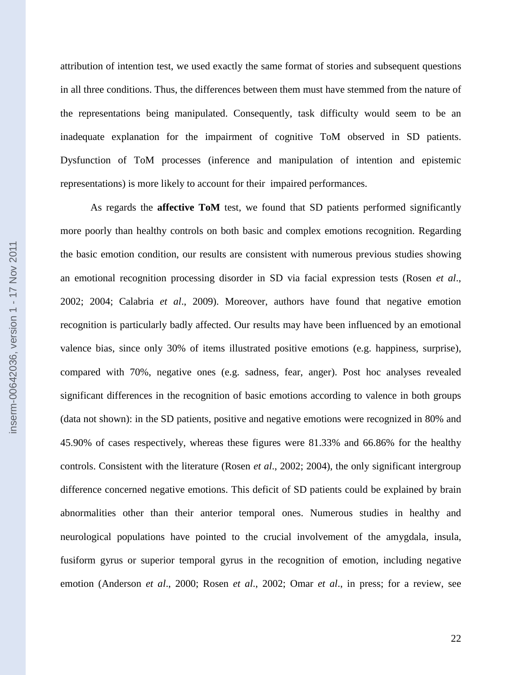attribution of intention test, we used exactly the same format of stories and subsequent questions in all three conditions. Thus, the differences between them must have stemmed from the nature of the representations being manipulated. Consequently, task difficulty would seem to be an inadequate explanation for the impairment of cognitive ToM observed in SD patients. Dysfunction of ToM processes (inference and manipulation of intention and epistemic representations) is more likely to account for their impaired performances.

As regards the **affective ToM** test, we found that SD patients performed significantly more poorly than healthy controls on both basic and complex emotions recognition. Regarding the basic emotion condition, our results are consistent with numerous previous studies showing an emotional recognition processing disorder in SD via facial expression tests (Rosen *et al*., 2002; 2004; Calabria *et al*., 2009). Moreover, authors have found that negative emotion recognition is particularly badly affected. Our results may have been influenced by an emotional valence bias, since only 30% of items illustrated positive emotions (e.g. happiness, surprise), compared with 70%, negative ones (e.g. sadness, fear, anger). Post hoc analyses revealed significant differences in the recognition of basic emotions according to valence in both groups (data not shown): in the SD patients, positive and negative emotions were recognized in 80% and 45.90% of cases respectively, whereas these figures were 81.33% and 66.86% for the healthy controls. Consistent with the literature (Rosen *et al*., 2002; 2004), the only significant intergroup difference concerned negative emotions. This deficit of SD patients could be explained by brain abnormalities other than their anterior temporal ones. Numerous studies in healthy and neurological populations have pointed to the crucial involvement of the amygdala, insula, fusiform gyrus or superior temporal gyrus in the recognition of emotion, including negative emotion (Anderson *et al*., 2000; Rosen *et al*., 2002; Omar *et al*., in press; for a review, see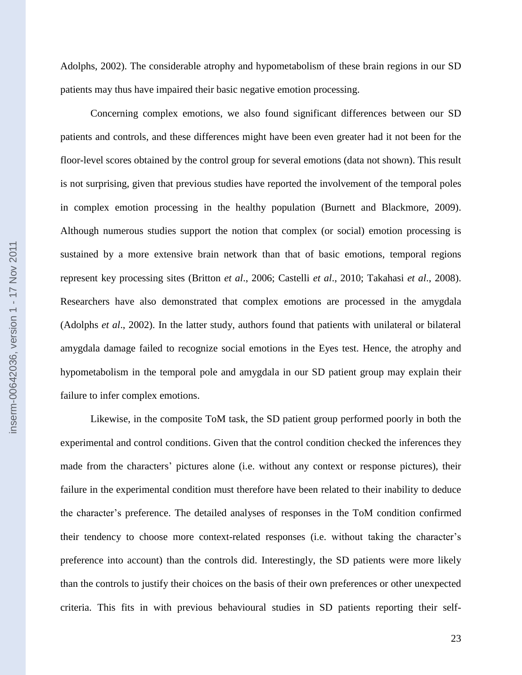Adolphs, 2002). The considerable atrophy and hypometabolism of these brain regions in our SD patients may thus have impaired their basic negative emotion processing.

Concerning complex emotions, we also found significant differences between our SD patients and controls, and these differences might have been even greater had it not been for the floor-level scores obtained by the control group for several emotions (data not shown). This result is not surprising, given that previous studies have reported the involvement of the temporal poles in complex emotion processing in the healthy population (Burnett and Blackmore, 2009). Although numerous studies support the notion that complex (or social) emotion processing is sustained by a more extensive brain network than that of basic emotions, temporal regions represent key processing sites (Britton *et al*., 2006; Castelli *et al*., 2010; Takahasi *et al*., 2008). Researchers have also demonstrated that complex emotions are processed in the amygdala (Adolphs *et al*., 2002). In the latter study, authors found that patients with unilateral or bilateral amygdala damage failed to recognize social emotions in the Eyes test. Hence, the atrophy and hypometabolism in the temporal pole and amygdala in our SD patient group may explain their failure to infer complex emotions.

Likewise, in the composite ToM task, the SD patient group performed poorly in both the experimental and control conditions. Given that the control condition checked the inferences they made from the characters' pictures alone (i.e. without any context or response pictures), their failure in the experimental condition must therefore have been related to their inability to deduce the character"s preference. The detailed analyses of responses in the ToM condition confirmed their tendency to choose more context-related responses (i.e. without taking the character"s preference into account) than the controls did. Interestingly, the SD patients were more likely than the controls to justify their choices on the basis of their own preferences or other unexpected criteria. This fits in with previous behavioural studies in SD patients reporting their self-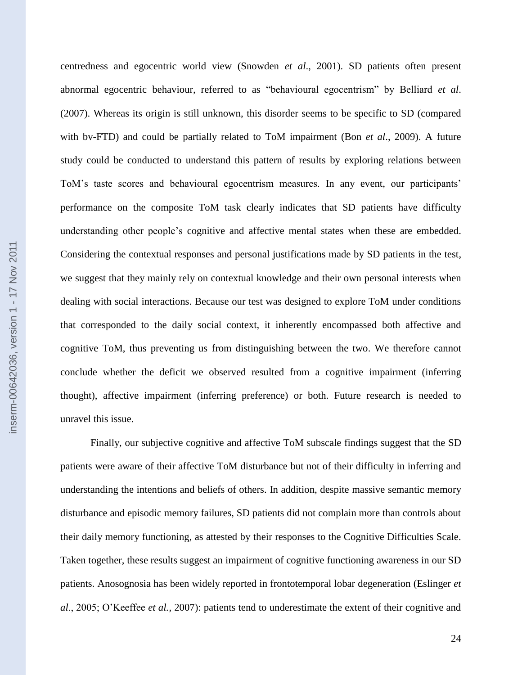centredness and egocentric world view (Snowden *et al*., 2001). SD patients often present abnormal egocentric behaviour, referred to as "behavioural egocentrism" by Belliard *et al*. (2007). Whereas its origin is still unknown, this disorder seems to be specific to SD (compared with bv-FTD) and could be partially related to ToM impairment (Bon *et al*., 2009). A future study could be conducted to understand this pattern of results by exploring relations between ToM's taste scores and behavioural egocentrism measures. In any event, our participants' performance on the composite ToM task clearly indicates that SD patients have difficulty understanding other people"s cognitive and affective mental states when these are embedded. Considering the contextual responses and personal justifications made by SD patients in the test, we suggest that they mainly rely on contextual knowledge and their own personal interests when dealing with social interactions. Because our test was designed to explore ToM under conditions that corresponded to the daily social context, it inherently encompassed both affective and cognitive ToM, thus preventing us from distinguishing between the two. We therefore cannot conclude whether the deficit we observed resulted from a cognitive impairment (inferring thought), affective impairment (inferring preference) or both. Future research is needed to unravel this issue.

Finally, our subjective cognitive and affective ToM subscale findings suggest that the SD patients were aware of their affective ToM disturbance but not of their difficulty in inferring and understanding the intentions and beliefs of others. In addition, despite massive semantic memory disturbance and episodic memory failures, SD patients did not complain more than controls about their daily memory functioning, as attested by their responses to the Cognitive Difficulties Scale. Taken together, these results suggest an impairment of cognitive functioning awareness in our SD patients. Anosognosia has been widely reported in frontotemporal lobar degeneration (Eslinger *et al*., 2005; O"Keeffee *et al.*, 2007): patients tend to underestimate the extent of their cognitive and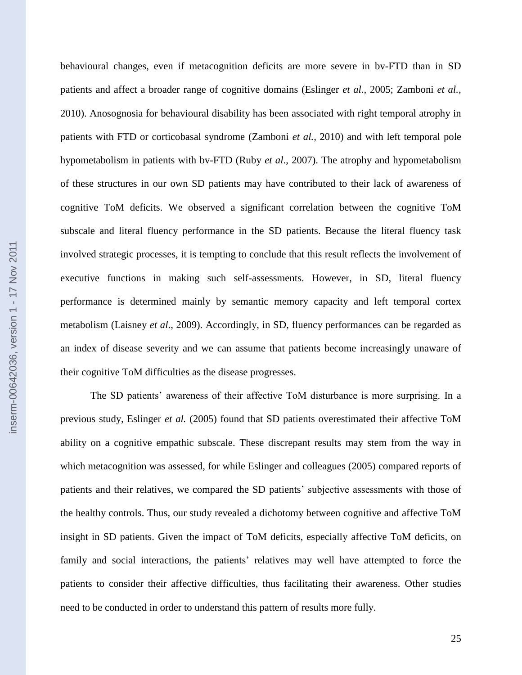behavioural changes, even if metacognition deficits are more severe in bv-FTD than in SD patients and affect a broader range of cognitive domains (Eslinger *et al.,* 2005; Zamboni *et al.*, 2010). Anosognosia for behavioural disability has been associated with right temporal atrophy in patients with FTD or corticobasal syndrome (Zamboni *et al.,* 2010) and with left temporal pole hypometabolism in patients with bv-FTD (Ruby *et al*., 2007). The atrophy and hypometabolism of these structures in our own SD patients may have contributed to their lack of awareness of cognitive ToM deficits. We observed a significant correlation between the cognitive ToM subscale and literal fluency performance in the SD patients. Because the literal fluency task involved strategic processes, it is tempting to conclude that this result reflects the involvement of executive functions in making such self-assessments. However, in SD, literal fluency performance is determined mainly by semantic memory capacity and left temporal cortex metabolism (Laisney *et al*., 2009). Accordingly, in SD, fluency performances can be regarded as an index of disease severity and we can assume that patients become increasingly unaware of their cognitive ToM difficulties as the disease progresses.

The SD patients" awareness of their affective ToM disturbance is more surprising. In a previous study, Eslinger *et al.* (2005) found that SD patients overestimated their affective ToM ability on a cognitive empathic subscale. These discrepant results may stem from the way in which metacognition was assessed, for while Eslinger and colleagues (2005) compared reports of patients and their relatives, we compared the SD patients" subjective assessments with those of the healthy controls. Thus, our study revealed a dichotomy between cognitive and affective ToM insight in SD patients. Given the impact of ToM deficits, especially affective ToM deficits, on family and social interactions, the patients' relatives may well have attempted to force the patients to consider their affective difficulties, thus facilitating their awareness. Other studies need to be conducted in order to understand this pattern of results more fully.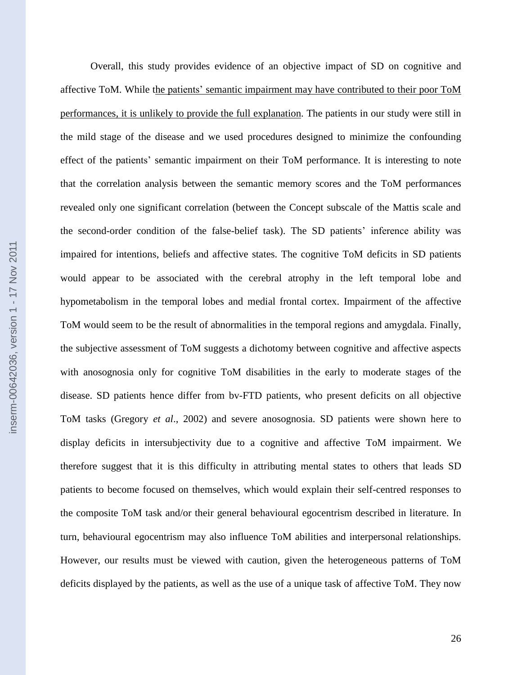Overall, this study provides evidence of an objective impact of SD on cognitive and affective ToM. While the patients" semantic impairment may have contributed to their poor ToM performances, it is unlikely to provide the full explanation. The patients in our study were still in the mild stage of the disease and we used procedures designed to minimize the confounding effect of the patients" semantic impairment on their ToM performance. It is interesting to note that the correlation analysis between the semantic memory scores and the ToM performances revealed only one significant correlation (between the Concept subscale of the Mattis scale and the second-order condition of the false-belief task). The SD patients' inference ability was impaired for intentions, beliefs and affective states. The cognitive ToM deficits in SD patients would appear to be associated with the cerebral atrophy in the left temporal lobe and hypometabolism in the temporal lobes and medial frontal cortex. Impairment of the affective ToM would seem to be the result of abnormalities in the temporal regions and amygdala. Finally, the subjective assessment of ToM suggests a dichotomy between cognitive and affective aspects with anosognosia only for cognitive ToM disabilities in the early to moderate stages of the disease. SD patients hence differ from bv-FTD patients, who present deficits on all objective ToM tasks (Gregory *et al*., 2002) and severe anosognosia. SD patients were shown here to display deficits in intersubjectivity due to a cognitive and affective ToM impairment. We therefore suggest that it is this difficulty in attributing mental states to others that leads SD patients to become focused on themselves, which would explain their self-centred responses to the composite ToM task and/or their general behavioural egocentrism described in literature. In turn, behavioural egocentrism may also influence ToM abilities and interpersonal relationships. However, our results must be viewed with caution, given the heterogeneous patterns of ToM deficits displayed by the patients, as well as the use of a unique task of affective ToM. They now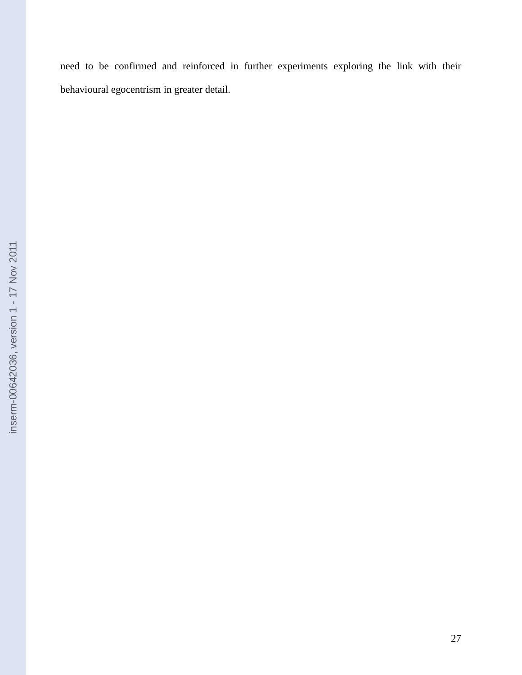need to be confirmed and reinforced in further experiments exploring the link with their behavioural egocentrism in greater detail.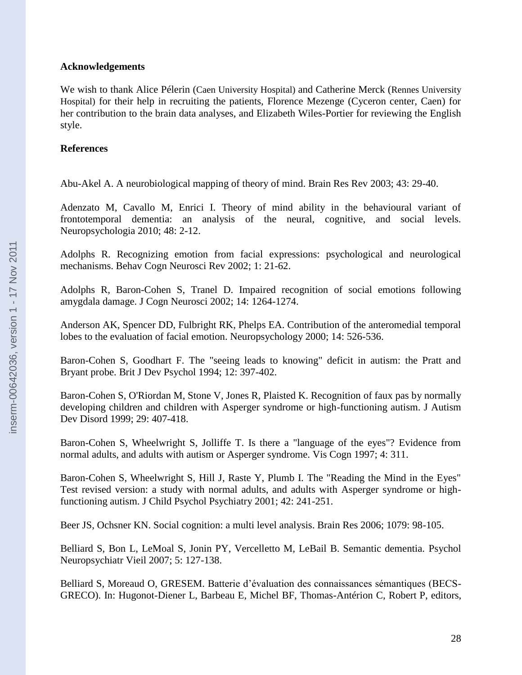## **Acknowledgements**

We wish to thank Alice Pélerin (Caen University Hospital) and Catherine Merck (Rennes University Hospital) for their help in recruiting the patients, Florence Mezenge (Cyceron center, Caen) for her contribution to the brain data analyses, and Elizabeth Wiles-Portier for reviewing the English style.

## **References**

Abu-Akel A. A neurobiological mapping of theory of mind. Brain Res Rev 2003; 43: 29-40.

Adenzato M, Cavallo M, Enrici I. Theory of mind ability in the behavioural variant of frontotemporal dementia: an analysis of the neural, cognitive, and social levels. Neuropsychologia 2010; 48: 2-12.

Adolphs R. Recognizing emotion from facial expressions: psychological and neurological mechanisms. Behav Cogn Neurosci Rev 2002; 1: 21-62.

Adolphs R, Baron-Cohen S, Tranel D. Impaired recognition of social emotions following amygdala damage. J Cogn Neurosci 2002; 14: 1264-1274.

Anderson AK, Spencer DD, Fulbright RK, Phelps EA. Contribution of the anteromedial temporal lobes to the evaluation of facial emotion. Neuropsychology 2000; 14: 526-536.

Baron-Cohen S, Goodhart F. The "seeing leads to knowing" deficit in autism: the Pratt and Bryant probe. Brit J Dev Psychol 1994; 12: 397-402.

Baron-Cohen S, O'Riordan M, Stone V, Jones R, Plaisted K. Recognition of faux pas by normally developing children and children with Asperger syndrome or high-functioning autism. J Autism Dev Disord 1999; 29: 407-418.

Baron-Cohen S, Wheelwright S, Jolliffe T. Is there a "language of the eyes"? Evidence from normal adults, and adults with autism or Asperger syndrome. Vis Cogn 1997; 4: 311.

Baron-Cohen S, Wheelwright S, Hill J, Raste Y, Plumb I. The "Reading the Mind in the Eyes" Test revised version: a study with normal adults, and adults with Asperger syndrome or highfunctioning autism. J Child Psychol Psychiatry 2001; 42: 241-251.

Beer JS, Ochsner KN. Social cognition: a multi level analysis. Brain Res 2006; 1079: 98-105.

Belliard S, Bon L, LeMoal S, Jonin PY, Vercelletto M, LeBail B. Semantic dementia. Psychol Neuropsychiatr Vieil 2007; 5: 127-138.

Belliard S, Moreaud O, GRESEM. Batterie d"évaluation des connaissances sémantiques (BECS-GRECO). In: Hugonot-Diener L, Barbeau E, Michel BF, Thomas-Antérion C, Robert P, editors,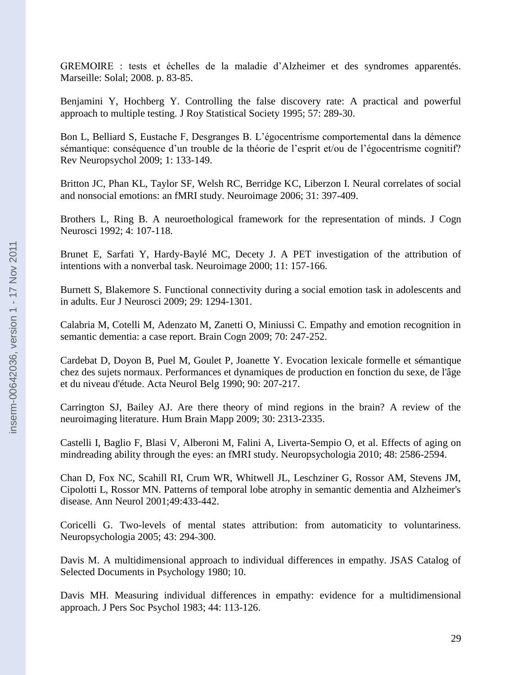GREMOIRE : tests et échelles de la maladie d"Alzheimer et des syndromes apparentés. Marseille: Solal; 2008. p. 83-85.

Benjamini Y, Hochberg Y. Controlling the false discovery rate: A practical and powerful approach to multiple testing. J Roy Statistical Society 1995; 57: 289-30.

Bon L, Belliard S, Eustache F, Desgranges B. L"égocentrisme comportemental dans la démence sémantique: conséquence d'un trouble de la théorie de l'esprit et/ou de l'égocentrisme cognitif? Rev Neuropsychol 2009; 1: 133-149.

Britton JC, Phan KL, Taylor SF, Welsh RC, Berridge KC, Liberzon I. Neural correlates of social and nonsocial emotions: an fMRI study. Neuroimage 2006; 31: 397-409.

Brothers L, Ring B. A neuroethological framework for the representation of minds. J Cogn Neurosci 1992; 4: 107-118.

Brunet E, Sarfati Y, Hardy-Baylé MC, Decety J. A PET investigation of the attribution of intentions with a nonverbal task. Neuroimage 2000; 11: 157-166.

Burnett S, Blakemore S. Functional connectivity during a social emotion task in adolescents and in adults. Eur J Neurosci 2009; 29: 1294-1301.

Calabria M, Cotelli M, Adenzato M, Zanetti O, Miniussi C. Empathy and emotion recognition in semantic dementia: a case report. Brain Cogn 2009; 70: 247-252.

Cardebat D, Doyon B, Puel M, Goulet P, Joanette Y. Evocation lexicale formelle et sémantique chez des sujets normaux. Performances et dynamiques de production en fonction du sexe, de l'âge et du niveau d'étude. Acta Neurol Belg 1990; 90: 207-217.

Carrington SJ, Bailey AJ. Are there theory of mind regions in the brain? A review of the neuroimaging literature. Hum Brain Mapp 2009; 30: 2313-2335.

Castelli I, Baglio F, Blasi V, Alberoni M, Falini A, Liverta-Sempio O, et al. Effects of aging on mindreading ability through the eyes: an fMRI study. Neuropsychologia 2010; 48: 2586-2594.

Chan D, Fox NC, Scahill RI, Crum WR, Whitwell JL, Leschziner G, Rossor AM, Stevens JM, Cipolotti L, Rossor MN. Patterns of temporal lobe atrophy in semantic dementia and Alzheimer's disease. Ann Neurol 2001;49:433-442.

Coricelli G. Two-levels of mental states attribution: from automaticity to voluntariness. Neuropsychologia 2005; 43: 294-300.

Davis M. A multidimensional approach to individual differences in empathy. JSAS Catalog of Selected Documents in Psychology 1980; 10.

Davis MH. Measuring individual differences in empathy: evidence for a multidimensional approach. J Pers Soc Psychol 1983; 44: 113-126.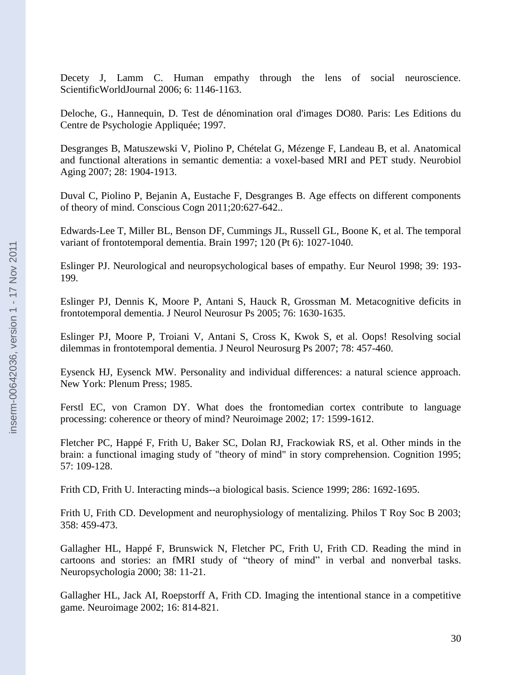Decety J, Lamm C. Human empathy through the lens of social neuroscience. ScientificWorldJournal 2006; 6: 1146-1163.

Deloche, G., Hannequin, D. Test de dénomination oral d'images DO80. Paris: Les Editions du Centre de Psychologie Appliquée; 1997.

Desgranges B, Matuszewski V, Piolino P, Chételat G, Mézenge F, Landeau B, et al. Anatomical and functional alterations in semantic dementia: a voxel-based MRI and PET study. Neurobiol Aging 2007; 28: 1904-1913.

Duval C, Piolino P, Bejanin A, Eustache F, Desgranges B. Age effects on different components of theory of mind. Conscious Cogn 2011;20:627-642..

Edwards-Lee T, Miller BL, Benson DF, Cummings JL, Russell GL, Boone K, et al. The temporal variant of frontotemporal dementia. Brain 1997; 120 (Pt 6): 1027-1040.

Eslinger PJ. Neurological and neuropsychological bases of empathy. Eur Neurol 1998; 39: 193- 199.

Eslinger PJ, Dennis K, Moore P, Antani S, Hauck R, Grossman M. Metacognitive deficits in frontotemporal dementia. J Neurol Neurosur Ps 2005; 76: 1630-1635.

Eslinger PJ, Moore P, Troiani V, Antani S, Cross K, Kwok S, et al. Oops! Resolving social dilemmas in frontotemporal dementia. J Neurol Neurosurg Ps 2007; 78: 457-460.

Eysenck HJ, Eysenck MW. Personality and individual differences: a natural science approach. New York: Plenum Press; 1985.

Ferstl EC, von Cramon DY. What does the frontomedian cortex contribute to language processing: coherence or theory of mind? Neuroimage 2002; 17: 1599-1612.

Fletcher PC, Happé F, Frith U, Baker SC, Dolan RJ, Frackowiak RS, et al. Other minds in the brain: a functional imaging study of "theory of mind" in story comprehension. Cognition 1995; 57: 109-128.

Frith CD, Frith U. Interacting minds--a biological basis. Science 1999; 286: 1692-1695.

Frith U, Frith CD. Development and neurophysiology of mentalizing. Philos T Roy Soc B 2003; 358: 459-473.

Gallagher HL, Happé F, Brunswick N, Fletcher PC, Frith U, Frith CD. Reading the mind in cartoons and stories: an fMRI study of "theory of mind" in verbal and nonverbal tasks. Neuropsychologia 2000; 38: 11-21.

Gallagher HL, Jack AI, Roepstorff A, Frith CD. Imaging the intentional stance in a competitive game. Neuroimage 2002; 16: 814-821.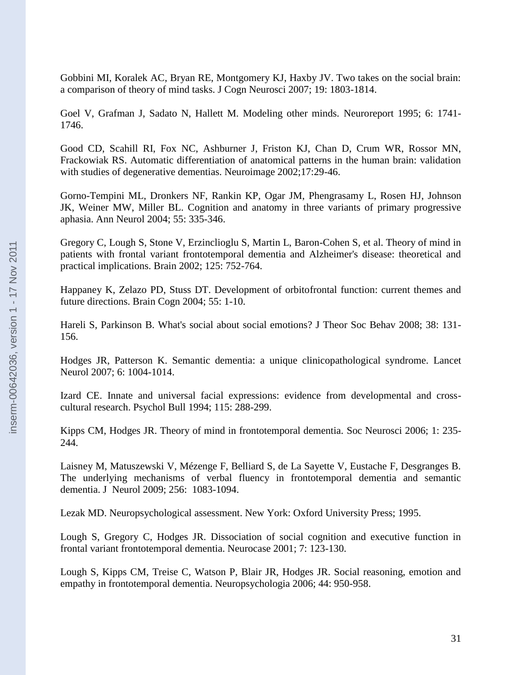Gobbini MI, Koralek AC, Bryan RE, Montgomery KJ, Haxby JV. Two takes on the social brain: a comparison of theory of mind tasks. J Cogn Neurosci 2007; 19: 1803-1814.

Goel V, Grafman J, Sadato N, Hallett M. Modeling other minds. Neuroreport 1995; 6: 1741- 1746.

Good CD, Scahill RI, Fox NC, Ashburner J, Friston KJ, Chan D, Crum WR, Rossor MN, Frackowiak RS. Automatic differentiation of anatomical patterns in the human brain: validation with studies of degenerative dementias. Neuroimage 2002;17:29-46.

Gorno-Tempini ML, Dronkers NF, Rankin KP, Ogar JM, Phengrasamy L, Rosen HJ, Johnson JK, Weiner MW, Miller BL. Cognition and anatomy in three variants of primary progressive aphasia. Ann Neurol 2004; 55: 335-346.

Gregory C, Lough S, Stone V, Erzinclioglu S, Martin L, Baron-Cohen S, et al. Theory of mind in patients with frontal variant frontotemporal dementia and Alzheimer's disease: theoretical and practical implications. Brain 2002; 125: 752-764.

Happaney K, Zelazo PD, Stuss DT. Development of orbitofrontal function: current themes and future directions. Brain Cogn 2004; 55: 1-10.

Hareli S, Parkinson B. What's social about social emotions? J Theor Soc Behav 2008; 38: 131- 156.

Hodges JR, Patterson K. Semantic dementia: a unique clinicopathological syndrome. Lancet Neurol 2007; 6: 1004-1014.

Izard CE. Innate and universal facial expressions: evidence from developmental and crosscultural research. Psychol Bull 1994; 115: 288-299.

Kipps CM, Hodges JR. Theory of mind in frontotemporal dementia. Soc Neurosci 2006; 1: 235- 244.

Laisney M, Matuszewski V, Mézenge F, Belliard S, de La Sayette V, Eustache F, Desgranges B. The underlying mechanisms of verbal fluency in frontotemporal dementia and semantic dementia. J Neurol 2009; 256: 1083-1094.

Lezak MD. Neuropsychological assessment. New York: Oxford University Press; 1995.

Lough S, Gregory C, Hodges JR. Dissociation of social cognition and executive function in frontal variant frontotemporal dementia. Neurocase 2001; 7: 123-130.

Lough S, Kipps CM, Treise C, Watson P, Blair JR, Hodges JR. Social reasoning, emotion and empathy in frontotemporal dementia. Neuropsychologia 2006; 44: 950-958.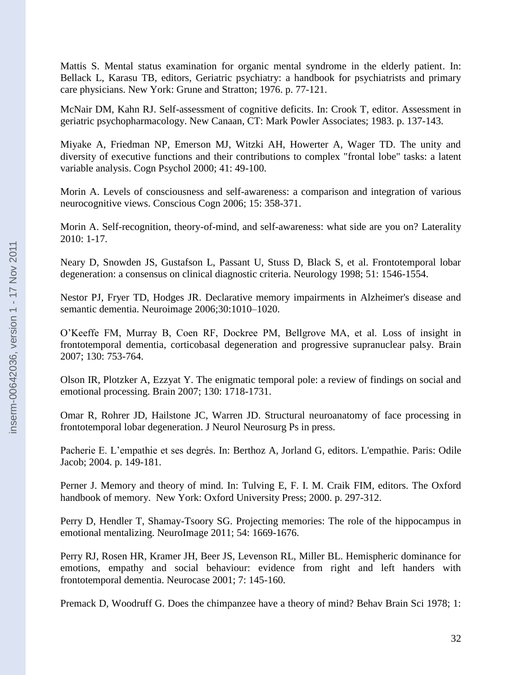Mattis S. Mental status examination for organic mental syndrome in the elderly patient. In: Bellack L, Karasu TB, editors, Geriatric psychiatry: a handbook for psychiatrists and primary care physicians. New York: Grune and Stratton; 1976. p. 77-121.

McNair DM, Kahn RJ. Self-assessment of cognitive deficits. In: Crook T, editor. Assessment in geriatric psychopharmacology. New Canaan, CT: Mark Powler Associates; 1983. p. 137-143.

Miyake A, Friedman NP, Emerson MJ, Witzki AH, Howerter A, Wager TD. The unity and diversity of executive functions and their contributions to complex "frontal lobe" tasks: a latent variable analysis. Cogn Psychol 2000; 41: 49-100.

Morin A. Levels of consciousness and self-awareness: a comparison and integration of various neurocognitive views. Conscious Cogn 2006; 15: 358-371.

Morin A. Self-recognition, theory-of-mind, and self-awareness: what side are you on? Laterality 2010: 1-17.

Neary D, Snowden JS, Gustafson L, Passant U, Stuss D, Black S, et al. Frontotemporal lobar degeneration: a consensus on clinical diagnostic criteria. Neurology 1998; 51: 1546-1554.

Nestor PJ, Fryer TD, Hodges JR. Declarative memory impairments in Alzheimer's disease and semantic dementia. Neuroimage 2006;30:1010–1020.

O"Keeffe FM, Murray B, Coen RF, Dockree PM, Bellgrove MA, et al. Loss of insight in frontotemporal dementia, corticobasal degeneration and progressive supranuclear palsy. Brain 2007; 130: 753-764.

Olson IR, Plotzker A, Ezzyat Y. The enigmatic temporal pole: a review of findings on social and emotional processing. Brain 2007; 130: 1718-1731.

Omar R, Rohrer JD, Hailstone JC, Warren JD. Structural neuroanatomy of face processing in frontotemporal lobar degeneration. J Neurol Neurosurg Ps in press.

Pacherie E. L"empathie et ses degrés. In: Berthoz A, Jorland G, editors. L'empathie. Paris: Odile Jacob; 2004. p. 149-181.

Perner J. Memory and theory of mind. In: Tulving E, F. I. M. Craik FIM, editors. The Oxford handbook of memory. New York: Oxford University Press; 2000. p. 297-312.

Perry D, Hendler T, Shamay-Tsoory SG. Projecting memories: The role of the hippocampus in emotional mentalizing. NeuroImage 2011; 54: 1669-1676.

Perry RJ, Rosen HR, Kramer JH, Beer JS, Levenson RL, Miller BL. Hemispheric dominance for emotions, empathy and social behaviour: evidence from right and left handers with frontotemporal dementia. Neurocase 2001; 7: 145-160.

Premack D, Woodruff G. Does the chimpanzee have a theory of mind? Behav Brain Sci 1978; 1: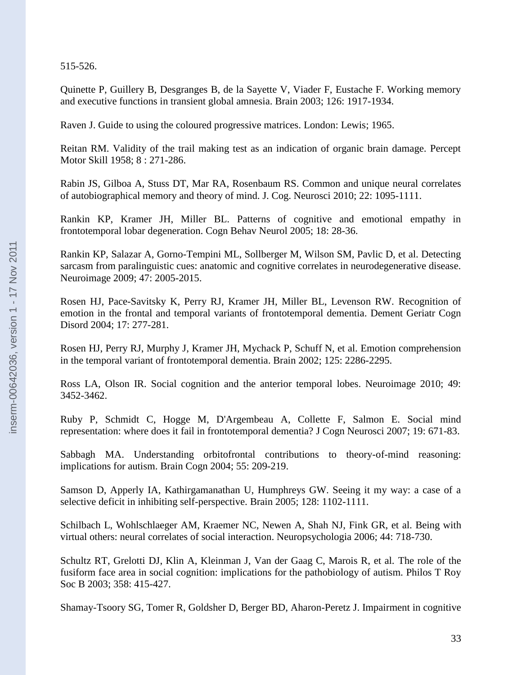515-526.

Quinette P, Guillery B, Desgranges B, de la Sayette V, Viader F, Eustache F. Working memory and executive functions in transient global amnesia. Brain 2003; 126: 1917-1934.

Raven J. Guide to using the coloured progressive matrices. London: Lewis; 1965.

Reitan RM. Validity of the trail making test as an indication of organic brain damage. Percept Motor Skill 1958; 8 : 271-286.

Rabin JS, Gilboa A, Stuss DT, Mar RA, Rosenbaum RS. Common and unique neural correlates of autobiographical memory and theory of mind. J. Cog. Neurosci 2010; 22: 1095-1111.

Rankin KP, Kramer JH, Miller BL. Patterns of cognitive and emotional empathy in frontotemporal lobar degeneration. Cogn Behav Neurol 2005; 18: 28-36.

Rankin KP, Salazar A, Gorno-Tempini ML, Sollberger M, Wilson SM, Pavlic D, et al. Detecting sarcasm from paralinguistic cues: anatomic and cognitive correlates in neurodegenerative disease. Neuroimage 2009; 47: 2005-2015.

Rosen HJ, Pace-Savitsky K, Perry RJ, Kramer JH, Miller BL, Levenson RW. Recognition of emotion in the frontal and temporal variants of frontotemporal dementia. Dement Geriatr Cogn Disord 2004; 17: 277-281.

Rosen HJ, Perry RJ, Murphy J, Kramer JH, Mychack P, Schuff N, et al. Emotion comprehension in the temporal variant of frontotemporal dementia. Brain 2002; 125: 2286-2295.

Ross LA, Olson IR. Social cognition and the anterior temporal lobes. Neuroimage 2010; 49: 3452-3462.

Ruby P, Schmidt C, Hogge M, D'Argembeau A, Collette F, Salmon E. Social mind representation: where does it fail in frontotemporal dementia? J Cogn Neurosci 2007; 19: 671-83.

Sabbagh MA. Understanding orbitofrontal contributions to theory-of-mind reasoning: implications for autism. Brain Cogn 2004; 55: 209-219.

Samson D, Apperly IA, Kathirgamanathan U, Humphreys GW. Seeing it my way: a case of a selective deficit in inhibiting self-perspective. Brain 2005; 128: 1102-1111.

Schilbach L, Wohlschlaeger AM, Kraemer NC, Newen A, Shah NJ, Fink GR, et al. Being with virtual others: neural correlates of social interaction. Neuropsychologia 2006; 44: 718-730.

Schultz RT, Grelotti DJ, Klin A, Kleinman J, Van der Gaag C, Marois R, et al. The role of the fusiform face area in social cognition: implications for the pathobiology of autism. Philos T Roy Soc B 2003; 358: 415-427.

Shamay-Tsoory SG, Tomer R, Goldsher D, Berger BD, Aharon-Peretz J. Impairment in cognitive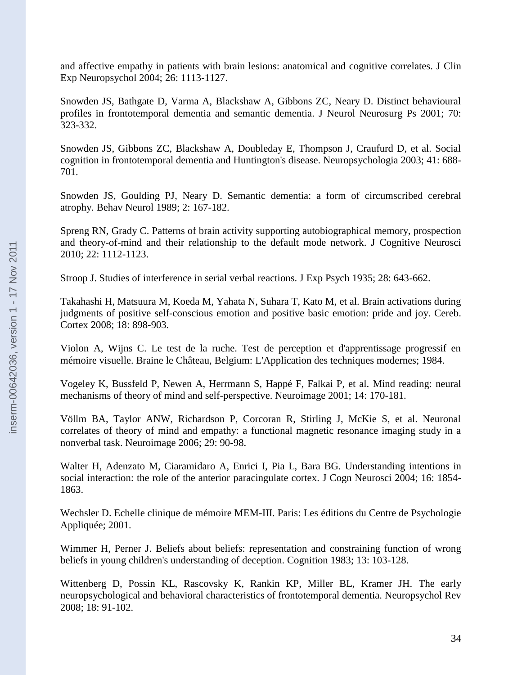and affective empathy in patients with brain lesions: anatomical and cognitive correlates. J Clin Exp Neuropsychol 2004; 26: 1113-1127.

Snowden JS, Bathgate D, Varma A, Blackshaw A, Gibbons ZC, Neary D. Distinct behavioural profiles in frontotemporal dementia and semantic dementia. J Neurol Neurosurg Ps 2001; 70: 323-332.

Snowden JS, Gibbons ZC, Blackshaw A, Doubleday E, Thompson J, Craufurd D, et al. Social cognition in frontotemporal dementia and Huntington's disease. Neuropsychologia 2003; 41: 688- 701.

Snowden JS, Goulding PJ, Neary D. Semantic dementia: a form of circumscribed cerebral atrophy. Behav Neurol 1989; 2: 167-182.

Spreng RN, Grady C. Patterns of brain activity supporting autobiographical memory, prospection and theory-of-mind and their relationship to the default mode network. J Cognitive Neurosci 2010; 22: 1112-1123.

Stroop J. Studies of interference in serial verbal reactions. J Exp Psych 1935; 28: 643-662.

Takahashi H, Matsuura M, Koeda M, Yahata N, Suhara T, Kato M, et al. Brain activations during judgments of positive self-conscious emotion and positive basic emotion: pride and joy. Cereb. Cortex 2008; 18: 898-903.

Violon A, Wijns C. Le test de la ruche. Test de perception et d'apprentissage progressif en mémoire visuelle. Braine le Château, Belgium: L'Application des techniques modernes; 1984.

Vogeley K, Bussfeld P, Newen A, Herrmann S, Happé F, Falkai P, et al. Mind reading: neural mechanisms of theory of mind and self-perspective. Neuroimage 2001; 14: 170-181.

Völlm BA, Taylor ANW, Richardson P, Corcoran R, Stirling J, McKie S, et al. Neuronal correlates of theory of mind and empathy: a functional magnetic resonance imaging study in a nonverbal task. Neuroimage 2006; 29: 90-98.

Walter H, Adenzato M, Ciaramidaro A, Enrici I, Pia L, Bara BG. Understanding intentions in social interaction: the role of the anterior paracingulate cortex. J Cogn Neurosci 2004; 16: 1854- 1863.

Wechsler D. Echelle clinique de mémoire MEM-III. Paris: Les éditions du Centre de Psychologie Appliquée; 2001.

Wimmer H, Perner J. Beliefs about beliefs: representation and constraining function of wrong beliefs in young children's understanding of deception. Cognition 1983; 13: 103-128.

Wittenberg D, Possin KL, Rascovsky K, Rankin KP, Miller BL, Kramer JH. The early neuropsychological and behavioral characteristics of frontotemporal dementia. Neuropsychol Rev 2008; 18: 91-102.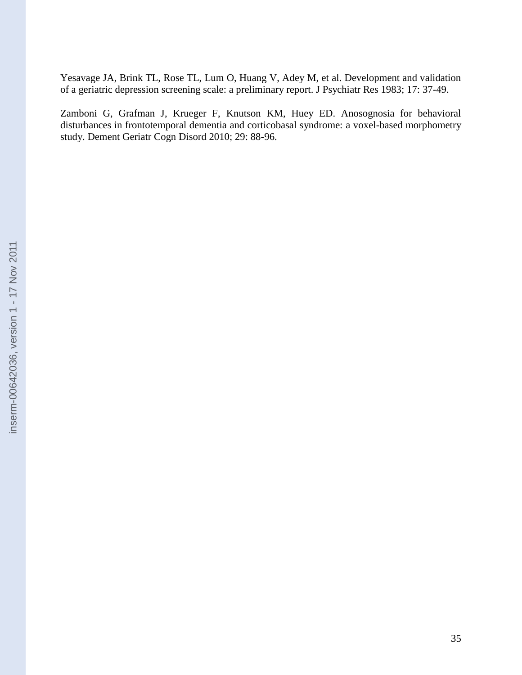Yesavage JA, Brink TL, Rose TL, Lum O, Huang V, Adey M, et al. Development and validation of a geriatric depression screening scale: a preliminary report. J Psychiatr Res 1983; 17: 37-49.

Zamboni G, Grafman J, Krueger F, Knutson KM, Huey ED. Anosognosia for behavioral disturbances in frontotemporal dementia and corticobasal syndrome: a voxel-based morphometry study. Dement Geriatr Cogn Disord 2010; 29: 88-96.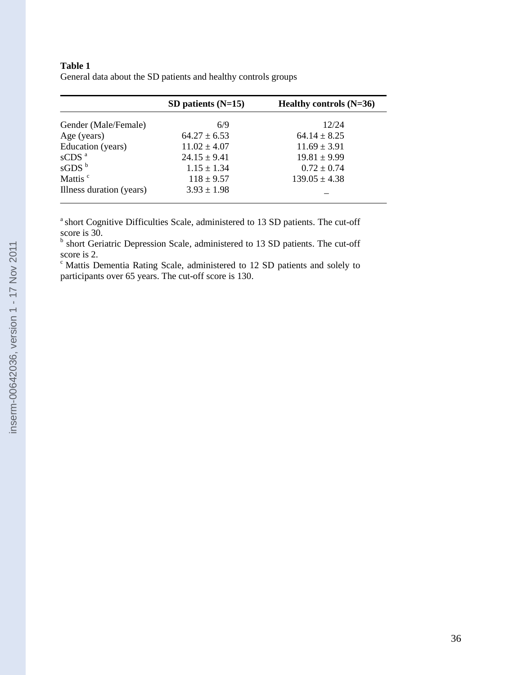#### **Table 1**

General data about the SD patients and healthy controls groups

|                              | SD patients $(N=15)$ | Healthy controls $(N=36)$ |  |
|------------------------------|----------------------|---------------------------|--|
| Gender (Male/Female)         | 6/9                  | 12/24                     |  |
| Age (years)                  | $64.27 \pm 6.53$     | $64.14 \pm 8.25$          |  |
| Education (years)            | $11.02 \pm 4.07$     | $11.69 \pm 3.91$          |  |
| $\mathrm{sCDS}$ <sup>a</sup> | $24.15 \pm 9.41$     | $19.81 \pm 9.99$          |  |
| $\mathrm{sGDS}$ <sup>b</sup> | $1.15 \pm 1.34$      | $0.72 \pm 0.74$           |  |
| Mattis <sup>c</sup>          | $118 \pm 9.57$       | $139.05 \pm 4.38$         |  |
| Illness duration (years)     | $3.93 \pm 1.98$      |                           |  |

 $a<sup>a</sup>$  short Cognitive Difficulties Scale, administered to 13 SD patients. The cut-off score is 30.

<sup>b</sup> short Geriatric Depression Scale, administered to 13 SD patients. The cut-off score is 2.

 $c$  Mattis Dementia Rating Scale, administered to 12 SD patients and solely to participants over 65 years. The cut-off score is 130.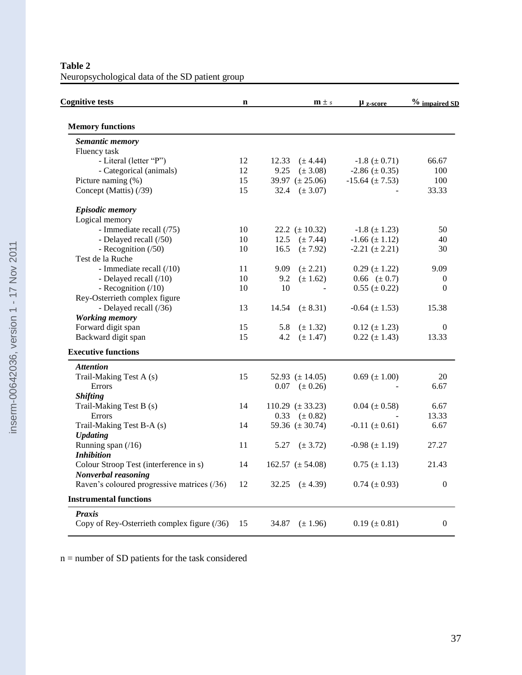**Table 2** Neuropsychological data of the SD patient group

| <b>Cognitive tests</b>                       | $\mathbf n$ |       | $m \pm s$              | $\mu$ z-score         | $%$ impaired SD  |
|----------------------------------------------|-------------|-------|------------------------|-----------------------|------------------|
| <b>Memory functions</b>                      |             |       |                        |                       |                  |
| Semantic memory                              |             |       |                        |                       |                  |
| Fluency task                                 |             |       |                        |                       |                  |
| - Literal (letter "P")                       | 12          | 12.33 | $(\pm 4.44)$           | $-1.8 \ (\pm 0.71)$   | 66.67            |
| - Categorical (animals)                      | 12          | 9.25  | $(\pm 3.08)$           | $-2.86 \ (\pm 0.35)$  | 100              |
| Picture naming (%)                           | 15          |       | 39.97 $(\pm 25.06)$    | $-15.64 \ (\pm 7.53)$ | 100              |
| Concept (Mattis) (/39)                       | 15          | 32.4  | $(\pm 3.07)$           |                       | 33.33            |
| <b>Episodic memory</b>                       |             |       |                        |                       |                  |
| Logical memory                               |             |       |                        |                       |                  |
| - Immediate recall (/75)                     | 10          |       | 22.2 $(\pm 10.32)$     | $-1.8 (\pm 1.23)$     | 50               |
| - Delayed recall (/50)                       | 10          | 12.5  | $(\pm 7.44)$           | $-1.66 \ (\pm 1.12)$  | 40               |
| - Recognition (/50)                          | 10          | 16.5  | $(\pm 7.92)$           | $-2.21 (\pm 2.21)$    | 30               |
| Test de la Ruche                             |             |       |                        |                       |                  |
| - Immediate recall (/10)                     | 11          | 9.09  | $(\pm 2.21)$           | $0.29 \ (\pm 1.22)$   | 9.09             |
| - Delayed recall (/10)                       | 10          | 9.2   | $(\pm 1.62)$           | $0.66 \ (\pm 0.7)$    | $\boldsymbol{0}$ |
| - Recognition $(10)$                         | 10          | 10    |                        | $0.55 (\pm 0.22)$     | $\theta$         |
| Rey-Osterrieth complex figure                |             |       |                        |                       |                  |
| - Delayed recall (/36)                       | 13          | 14.54 | $(\pm 8.31)$           | $-0.64 \ (\pm 1.53)$  | 15.38            |
| <b>Working memory</b>                        |             |       |                        |                       |                  |
| Forward digit span                           | 15          | 5.8   | $(\pm 1.32)$           | $0.12 \ (\pm 1.23)$   | $\mathbf{0}$     |
| Backward digit span                          | 15          | 4.2   | $(\pm 1.47)$           | $0.22 (\pm 1.43)$     | 13.33            |
| <b>Executive functions</b>                   |             |       |                        |                       |                  |
| <b>Attention</b>                             |             |       |                        |                       |                  |
| Trail-Making Test A (s)                      | 15          |       | 52.93 $(\pm 14.05)$    | $0.69 \ (\pm 1.00)$   | 20               |
| Errors                                       |             | 0.07  | $(\pm 0.26)$           |                       | 6.67             |
| <b>Shifting</b>                              |             |       |                        |                       |                  |
| Trail-Making Test B (s)                      | 14          |       | 110.29 $(\pm 33.23)$   | $0.04 (\pm 0.58)$     | 6.67             |
| Errors                                       |             | 0.33  | $(\pm 0.82)$           |                       | 13.33            |
| Trail-Making Test B-A (s)                    | 14          |       | 59.36 $(\pm 30.74)$    | $-0.11 \ (\pm 0.61)$  | 6.67             |
| <b>Updating</b>                              |             |       |                        |                       |                  |
| Running span $(16)$                          | 11          | 5.27  | $(\pm 3.72)$           | $-0.98 (\pm 1.19)$    | 27.27            |
| <b>Inhibition</b>                            |             |       |                        |                       |                  |
| Colour Stroop Test (interference in s)       | 14          |       | $162.57 \ (\pm 54.08)$ | $0.75 (\pm 1.13)$     | 21.43            |
| Nonverbal reasoning                          |             |       |                        |                       |                  |
| Raven's coloured progressive matrices (/36)  | 12          | 32.25 | $(\pm 4.39)$           | $0.74~(\pm 0.93)$     | $\overline{0}$   |
| <b>Instrumental functions</b>                |             |       |                        |                       |                  |
| <b>Praxis</b>                                |             |       |                        |                       |                  |
| Copy of Rey-Osterrieth complex figure $(36)$ | 15          | 34.87 | $(\pm 1.96)$           | $0.19 \ (\pm 0.81)$   | $\boldsymbol{0}$ |

n = number of SD patients for the task considered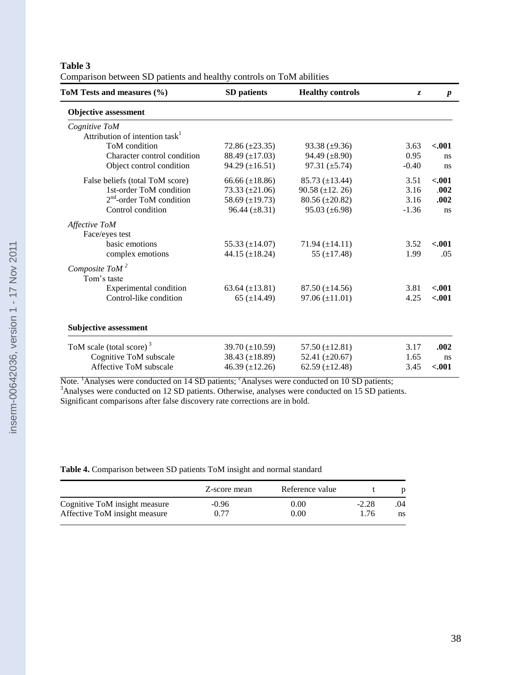#### **Table 3**

| ToM Tests and measures (%)                 | SD patients           | <b>Healthy controls</b> | Z.      | $\boldsymbol{p}$ |
|--------------------------------------------|-----------------------|-------------------------|---------|------------------|
| <b>Objective assessment</b>                |                       |                         |         |                  |
| Cognitive ToM                              |                       |                         |         |                  |
| Attribution of intention task <sup>1</sup> |                       |                         |         |                  |
| ToM condition                              | $72.86 \ (\pm 23.35)$ | $93.38 \ (\pm 9.36)$    | 3.63    | $-.001$          |
| Character control condition                | 88.49 $(\pm 17.03)$   | 94.49 $(\pm 8.90)$      | 0.95    | ns               |
| Object control condition                   | $94.29 \ (\pm 16.51)$ | 97.31 $(\pm 5.74)$      | $-0.40$ | ns               |
| False beliefs (total ToM score)            | 66.66 $(\pm 18.86)$   | 85.73 $(\pm 13.44)$     | 3.51    | $-.001$          |
| 1st-order ToM condition                    | 73.33 $(\pm 21.06)$   | $90.58 \ (\pm 12.26)$   | 3.16    | .002             |
| $2nd$ -order ToM condition                 | 58.69 $(\pm 19.73)$   | $80.56 (\pm 20.82)$     | 3.16    | .002             |
| Control condition                          | $96.44 (\pm 8.31)$    | $95.03 \ (\pm 6.98)$    | $-1.36$ | ns               |
| Affective ToM                              |                       |                         |         |                  |
| Face/eyes test                             |                       |                         |         |                  |
| basic emotions                             | 55.33 $(\pm 14.07)$   | $71.94 (\pm 14.11)$     | 3.52    | $-.001$          |
| complex emotions                           | 44.15 $(\pm 18.24)$   | 55 $(\pm 17.48)$        | 1.99    | .05              |
| Composite ToM $^2$                         |                       |                         |         |                  |
| Tom's taste                                |                       |                         |         |                  |
| Experimental condition                     | 63.64 $(\pm 13.81)$   | $87.50 \ (\pm 14.56)$   | 3.81    | $-.001$          |
| Control-like condition                     | 65 $(\pm 14.49)$      | $97.06 (\pm 11.01)$     | 4.25    | $-.001$          |
|                                            |                       |                         |         |                  |
|                                            |                       |                         |         |                  |
| <b>Subjective assessment</b>               |                       |                         |         |                  |
| ToM scale (total score) <sup>3</sup>       | 39.70 $(\pm 10.59)$   | 57.50 $(\pm 12.81)$     | 3.17    | .002             |
| Cognitive ToM subscale                     | 38.43 $(\pm 18.89)$   | 52.41 $(\pm 20.67)$     | 1.65    | ns               |
| Affective ToM subscale                     | 46.39 $(\pm 12.26)$   | 62.59 $(\pm 12.48)$     | 3.45    | $-.001$          |

| Comparison between SD patients and healthy controls on ToM abilities |
|----------------------------------------------------------------------|
|----------------------------------------------------------------------|

Note. <sup>1</sup>Analyses were conducted on 14 SD patients; <sup>c</sup>Analyses were conducted on 10 SD patients; <sup>3</sup>Analyses were conducted on 12 SD patients. Otherwise, analyses were conducted on 15 SD patients. Significant comparisons after false discovery rate corrections are in bold.

#### **Table 4.** Comparison between SD patients ToM insight and normal standard

|                               | Z-score mean | Reference value |         |     |
|-------------------------------|--------------|-----------------|---------|-----|
| Cognitive ToM insight measure | $-0.96$      | 0.00            | $-2.28$ | .04 |
| Affective ToM insight measure | 0.77         | 0.00            | 1 76    | ns  |